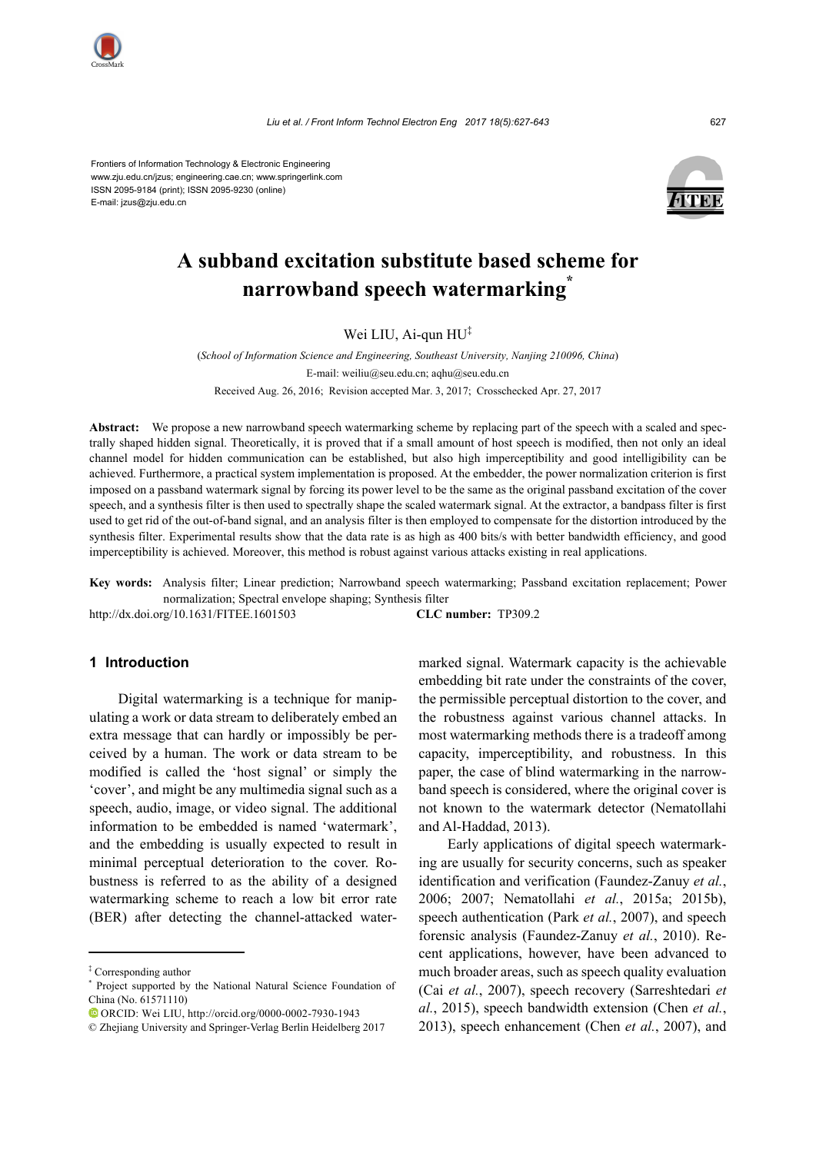

Frontiers of Information Technology & Electronic Engineering www.zju.edu.cn/jzus; engineering.cae.cn; www.springerlink.com ISSN 2095-9184 (print); ISSN 2095-9230 (online) E-mail: jzus@zju.edu.cn



# **A subband excitation substitute based scheme for narrowband speech watermarking\***

Wei LIU, Ai-qun HU<sup>‡</sup>

(*School of Information Science and Engineering, Southeast University, Nanjing 210096, China*) E-mail: weiliu@seu.edu.cn; aqhu@seu.edu.cn Received Aug. 26, 2016; Revision accepted Mar. 3, 2017; Crosschecked Apr. 27, 2017

**Abstract:** We propose a new narrowband speech watermarking scheme by replacing part of the speech with a scaled and spectrally shaped hidden signal. Theoretically, it is proved that if a small amount of host speech is modified, then not only an ideal channel model for hidden communication can be established, but also high imperceptibility and good intelligibility can be achieved. Furthermore, a practical system implementation is proposed. At the embedder, the power normalization criterion is first imposed on a passband watermark signal by forcing its power level to be the same as the original passband excitation of the cover speech, and a synthesis filter is then used to spectrally shape the scaled watermark signal. At the extractor, a bandpass filter is first used to get rid of the out-of-band signal, and an analysis filter is then employed to compensate for the distortion introduced by the synthesis filter. Experimental results show that the data rate is as high as 400 bits/s with better bandwidth efficiency, and good imperceptibility is achieved. Moreover, this method is robust against various attacks existing in real applications.

**Key words:** Analysis filter; Linear prediction; Narrowband speech watermarking; Passband excitation replacement; Power normalization; Spectral envelope shaping; Synthesis filter

http://dx.doi.org/10.1631/FITEE.1601503 **CLC number:** TP309.2

# **1 Introduction**

Digital watermarking is a technique for manipulating a work or data stream to deliberately embed an extra message that can hardly or impossibly be perceived by a human. The work or data stream to be modified is called the 'host signal' or simply the 'cover', and might be any multimedia signal such as a speech, audio, image, or video signal. The additional information to be embedded is named 'watermark', and the embedding is usually expected to result in minimal perceptual deterioration to the cover. Robustness is referred to as the ability of a designed watermarking scheme to reach a low bit error rate (BER) after detecting the channel-attacked watermarked signal. Watermark capacity is the achievable embedding bit rate under the constraints of the cover, the permissible perceptual distortion to the cover, and the robustness against various channel attacks. In most watermarking methods there is a tradeoff among capacity, imperceptibility, and robustness. In this paper, the case of blind watermarking in the narrowband speech is considered, where the original cover is not known to the watermark detector (Nematollahi and Al-Haddad, 2013).

Early applications of digital speech watermarking are usually for security concerns, such as speaker identification and verification (Faundez-Zanuy *et al.*, 2006; 2007; Nematollahi *et al.*, 2015a; 2015b), speech authentication (Park *et al.*, 2007), and speech forensic analysis (Faundez-Zanuy *et al.*, 2010). Recent applications, however, have been advanced to much broader areas, such as speech quality evaluation (Cai *et al.*, 2007), speech recovery (Sarreshtedari *et al.*, 2015), speech bandwidth extension (Chen *et al.*, 2013), speech enhancement (Chen *et al.*, 2007), and

<sup>‡</sup> Corresponding author

<sup>\*</sup> Project supported by the National Natural Science Foundation of China (No. 61571110)

ORCID: Wei LIU, http://orcid.org/0000-0002-7930-1943

<sup>©</sup> Zhejiang University and Springer-Verlag Berlin Heidelberg 2017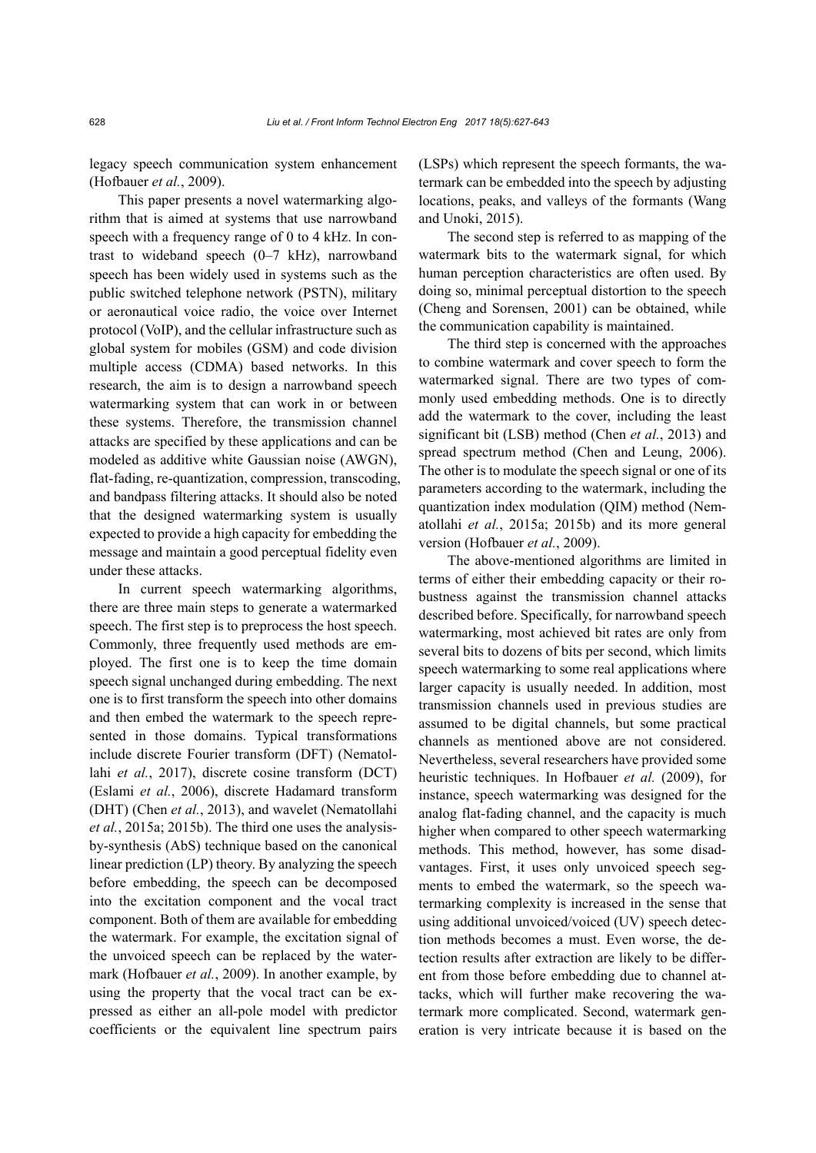legacy speech communication system enhancement (Hofbauer *et al.*, 2009).

This paper presents a novel watermarking algorithm that is aimed at systems that use narrowband speech with a frequency range of 0 to 4 kHz. In contrast to wideband speech (0–7 kHz), narrowband speech has been widely used in systems such as the public switched telephone network (PSTN), military or aeronautical voice radio, the voice over Internet protocol (VoIP), and the cellular infrastructure such as global system for mobiles (GSM) and code division multiple access (CDMA) based networks. In this research, the aim is to design a narrowband speech watermarking system that can work in or between these systems. Therefore, the transmission channel attacks are specified by these applications and can be modeled as additive white Gaussian noise (AWGN), flat-fading, re-quantization, compression, transcoding, and bandpass filtering attacks. It should also be noted that the designed watermarking system is usually expected to provide a high capacity for embedding the message and maintain a good perceptual fidelity even under these attacks.

In current speech watermarking algorithms, there are three main steps to generate a watermarked speech. The first step is to preprocess the host speech. Commonly, three frequently used methods are employed. The first one is to keep the time domain speech signal unchanged during embedding. The next one is to first transform the speech into other domains and then embed the watermark to the speech represented in those domains. Typical transformations include discrete Fourier transform (DFT) (Nematollahi *et al.*, 2017), discrete cosine transform (DCT) (Eslami *et al.*, 2006), discrete Hadamard transform (DHT) (Chen *et al.*, 2013), and wavelet (Nematollahi *et al.*, 2015a; 2015b). The third one uses the analysisby-synthesis (AbS) technique based on the canonical linear prediction (LP) theory. By analyzing the speech before embedding, the speech can be decomposed into the excitation component and the vocal tract component. Both of them are available for embedding the watermark. For example, the excitation signal of the unvoiced speech can be replaced by the watermark (Hofbauer *et al.*, 2009). In another example, by using the property that the vocal tract can be expressed as either an all-pole model with predictor coefficients or the equivalent line spectrum pairs (LSPs) which represent the speech formants, the watermark can be embedded into the speech by adjusting locations, peaks, and valleys of the formants (Wang and Unoki, 2015).

The second step is referred to as mapping of the watermark bits to the watermark signal, for which human perception characteristics are often used. By doing so, minimal perceptual distortion to the speech (Cheng and Sorensen, 2001) can be obtained, while the communication capability is maintained.

The third step is concerned with the approaches to combine watermark and cover speech to form the watermarked signal. There are two types of commonly used embedding methods. One is to directly add the watermark to the cover, including the least significant bit (LSB) method (Chen *et al.*, 2013) and spread spectrum method (Chen and Leung, 2006). The other is to modulate the speech signal or one of its parameters according to the watermark, including the quantization index modulation (QIM) method (Nematollahi *et al.*, 2015a; 2015b) and its more general version (Hofbauer *et al.*, 2009).

The above-mentioned algorithms are limited in terms of either their embedding capacity or their robustness against the transmission channel attacks described before. Specifically, for narrowband speech watermarking, most achieved bit rates are only from several bits to dozens of bits per second, which limits speech watermarking to some real applications where larger capacity is usually needed. In addition, most transmission channels used in previous studies are assumed to be digital channels, but some practical channels as mentioned above are not considered. Nevertheless, several researchers have provided some heuristic techniques. In Hofbauer *et al.* (2009), for instance, speech watermarking was designed for the analog flat-fading channel, and the capacity is much higher when compared to other speech watermarking methods. This method, however, has some disadvantages. First, it uses only unvoiced speech segments to embed the watermark, so the speech watermarking complexity is increased in the sense that using additional unvoiced/voiced (UV) speech detection methods becomes a must. Even worse, the detection results after extraction are likely to be different from those before embedding due to channel attacks, which will further make recovering the watermark more complicated. Second, watermark generation is very intricate because it is based on the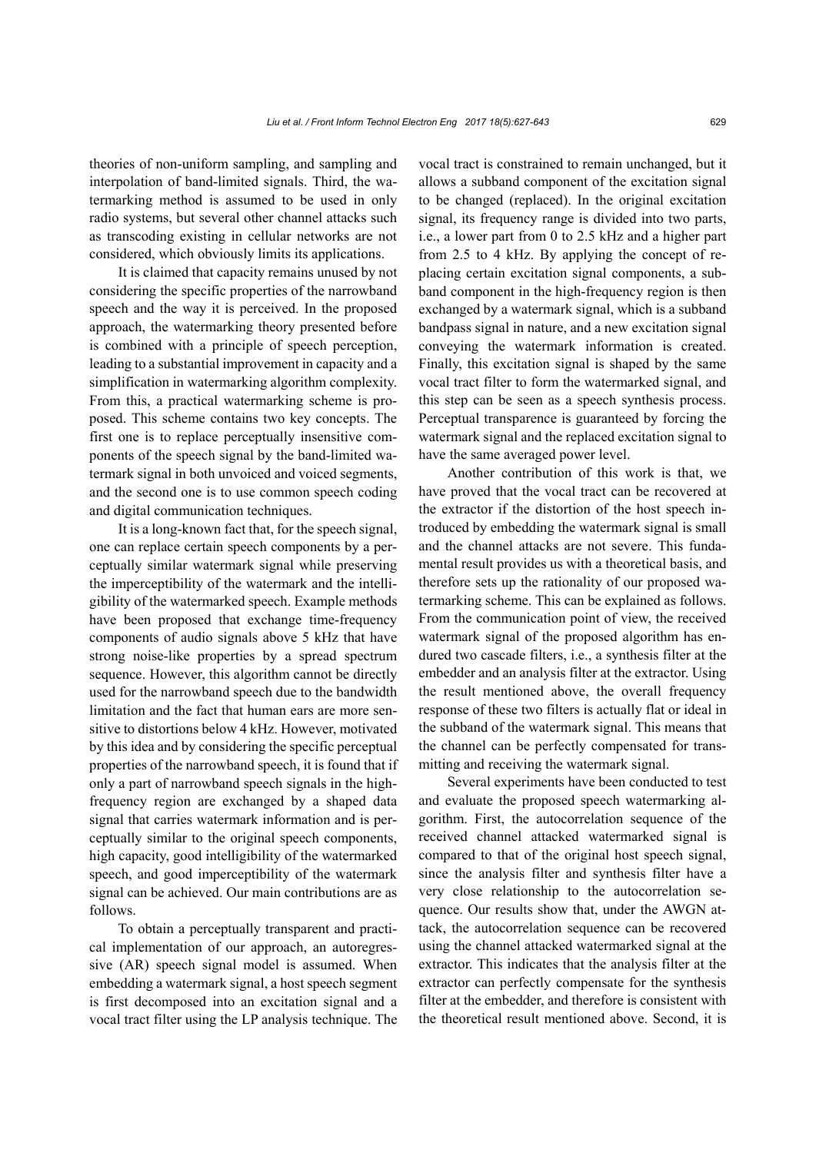theories of non-uniform sampling, and sampling and interpolation of band-limited signals. Third, the watermarking method is assumed to be used in only radio systems, but several other channel attacks such as transcoding existing in cellular networks are not considered, which obviously limits its applications.

It is claimed that capacity remains unused by not considering the specific properties of the narrowband speech and the way it is perceived. In the proposed approach, the watermarking theory presented before is combined with a principle of speech perception, leading to a substantial improvement in capacity and a simplification in watermarking algorithm complexity. From this, a practical watermarking scheme is proposed. This scheme contains two key concepts. The first one is to replace perceptually insensitive components of the speech signal by the band-limited watermark signal in both unvoiced and voiced segments, and the second one is to use common speech coding and digital communication techniques.

It is a long-known fact that, for the speech signal, one can replace certain speech components by a perceptually similar watermark signal while preserving the imperceptibility of the watermark and the intelligibility of the watermarked speech. Example methods have been proposed that exchange time-frequency components of audio signals above 5 kHz that have strong noise-like properties by a spread spectrum sequence. However, this algorithm cannot be directly used for the narrowband speech due to the bandwidth limitation and the fact that human ears are more sensitive to distortions below 4 kHz. However, motivated by this idea and by considering the specific perceptual properties of the narrowband speech, it is found that if only a part of narrowband speech signals in the highfrequency region are exchanged by a shaped data signal that carries watermark information and is perceptually similar to the original speech components, high capacity, good intelligibility of the watermarked speech, and good imperceptibility of the watermark signal can be achieved. Our main contributions are as follows.

To obtain a perceptually transparent and practical implementation of our approach, an autoregressive (AR) speech signal model is assumed. When embedding a watermark signal, a host speech segment is first decomposed into an excitation signal and a vocal tract filter using the LP analysis technique. The vocal tract is constrained to remain unchanged, but it allows a subband component of the excitation signal to be changed (replaced). In the original excitation signal, its frequency range is divided into two parts, i.e., a lower part from 0 to 2.5 kHz and a higher part from 2.5 to 4 kHz. By applying the concept of replacing certain excitation signal components, a subband component in the high-frequency region is then exchanged by a watermark signal, which is a subband bandpass signal in nature, and a new excitation signal conveying the watermark information is created. Finally, this excitation signal is shaped by the same vocal tract filter to form the watermarked signal, and this step can be seen as a speech synthesis process. Perceptual transparence is guaranteed by forcing the watermark signal and the replaced excitation signal to have the same averaged power level.

Another contribution of this work is that, we have proved that the vocal tract can be recovered at the extractor if the distortion of the host speech introduced by embedding the watermark signal is small and the channel attacks are not severe. This fundamental result provides us with a theoretical basis, and therefore sets up the rationality of our proposed watermarking scheme. This can be explained as follows. From the communication point of view, the received watermark signal of the proposed algorithm has endured two cascade filters, i.e., a synthesis filter at the embedder and an analysis filter at the extractor. Using the result mentioned above, the overall frequency response of these two filters is actually flat or ideal in the subband of the watermark signal. This means that the channel can be perfectly compensated for transmitting and receiving the watermark signal.

Several experiments have been conducted to test and evaluate the proposed speech watermarking algorithm. First, the autocorrelation sequence of the received channel attacked watermarked signal is compared to that of the original host speech signal, since the analysis filter and synthesis filter have a very close relationship to the autocorrelation sequence. Our results show that, under the AWGN attack, the autocorrelation sequence can be recovered using the channel attacked watermarked signal at the extractor. This indicates that the analysis filter at the extractor can perfectly compensate for the synthesis filter at the embedder, and therefore is consistent with the theoretical result mentioned above. Second, it is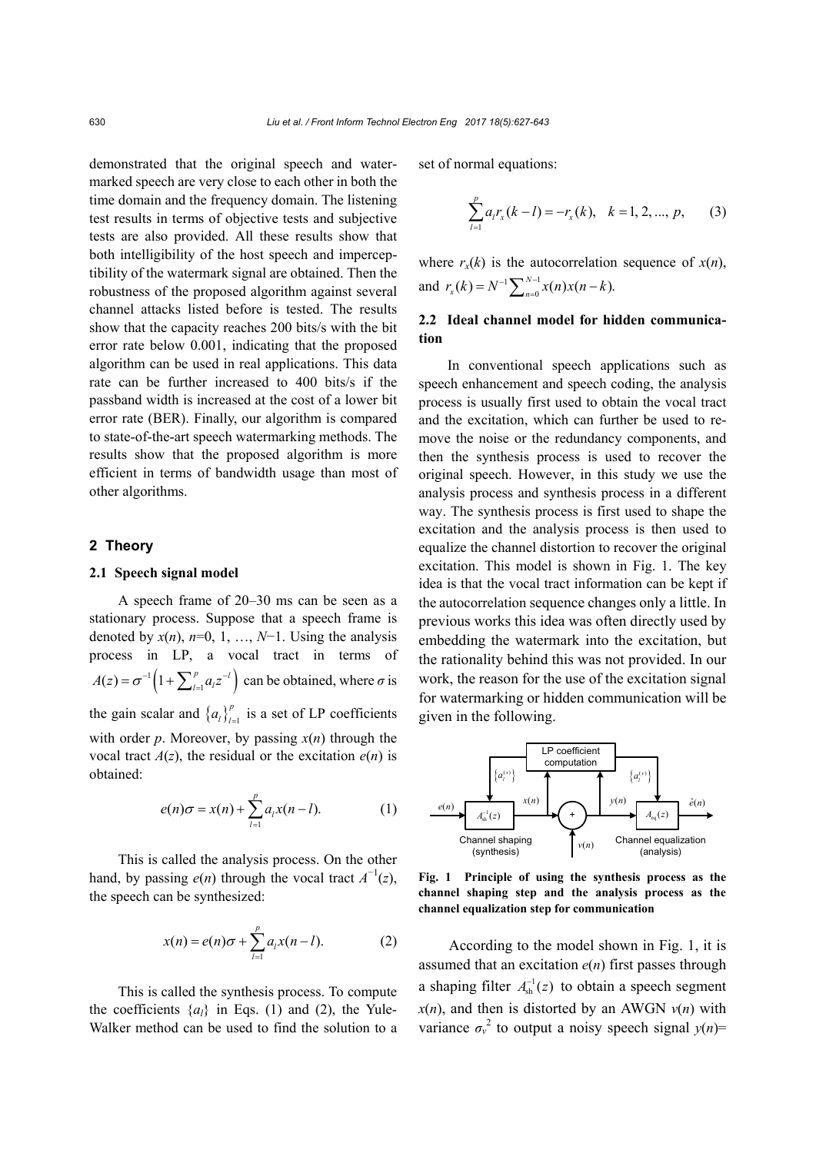demonstrated that the original speech and watermarked speech are very close to each other in both the time domain and the frequency domain. The listening test results in terms of objective tests and subjective tests are also provided. All these results show that both intelligibility of the host speech and imperceptibility of the watermark signal are obtained. Then the robustness of the proposed algorithm against several channel attacks listed before is tested. The results show that the capacity reaches 200 bits/s with the bit error rate below 0.001, indicating that the proposed algorithm can be used in real applications. This data rate can be further increased to 400 bits/s if the passband width is increased at the cost of a lower bit error rate (BER). Finally, our algorithm is compared to state-of-the-art speech watermarking methods. The results show that the proposed algorithm is more efficient in terms of bandwidth usage than most of other algorithms.

#### **2 Theory**

#### **2.1 Speech signal model**

A speech frame of 20–30 ms can be seen as a stationary process. Suppose that a speech frame is denoted by  $x(n)$ ,  $n=0, 1, ..., N-1$ . Using the analysis process in LP, a vocal tract in terms of  $A(z) = \sigma^{-1} \left( 1 + \sum_{l=1}^{p} a_l z^{-l} \right)$  can be obtained, where  $\sigma$  is the gain scalar and  $\{a_i\}_{i=1}^p$  is a set of LP coefficients

with order *p*. Moreover, by passing  $x(n)$  through the vocal tract  $A(z)$ , the residual or the excitation  $e(n)$  is obtained:

$$
e(n)\sigma = x(n) + \sum_{l=1}^{p} a_l x(n-l).
$$
 (1)

This is called the analysis process. On the other hand, by passing  $e(n)$  through the vocal tract  $A^{-1}(z)$ , the speech can be synthesized:

$$
x(n) = e(n)\sigma + \sum_{l=1}^{p} a_l x(n-l).
$$
 (2)

This is called the synthesis process. To compute the coefficients  $\{a_l\}$  in Eqs. (1) and (2), the Yule-Walker method can be used to find the solution to a set of normal equations:

$$
\sum_{l=1}^{p} a_l r_x(k-l) = -r_x(k), \quad k = 1, 2, ..., p,
$$
 (3)

where  $r_x(k)$  is the autocorrelation sequence of  $x(n)$ , and  $r_x(k) = N^{-1} \sum_{n=0}^{N-1} x(n)x(n-k)$ .

# **2.2 Ideal channel model for hidden communication**

In conventional speech applications such as speech enhancement and speech coding, the analysis process is usually first used to obtain the vocal tract and the excitation, which can further be used to remove the noise or the redundancy components, and then the synthesis process is used to recover the original speech. However, in this study we use the analysis process and synthesis process in a different way. The synthesis process is first used to shape the excitation and the analysis process is then used to equalize the channel distortion to recover the original excitation. This model is shown in Fig. 1. The key idea is that the vocal tract information can be kept if the autocorrelation sequence changes only a little. In previous works this idea was often directly used by embedding the watermark into the excitation, but the rationality behind this was not provided. In our work, the reason for the use of the excitation signal for watermarking or hidden communication will be given in the following.



**Fig. 1 Principle of using the synthesis process as the channel shaping step and the analysis process as the channel equalization step for communication** 

According to the model shown in Fig. 1, it is assumed that an excitation *e*(*n*) first passes through a shaping filter  $A_{\rm sh}^{-1}(z)$  to obtain a speech segment  $x(n)$ , and then is distorted by an AWGN  $v(n)$  with variance  $\sigma_v^2$  to output a noisy speech signal  $y(n)$ =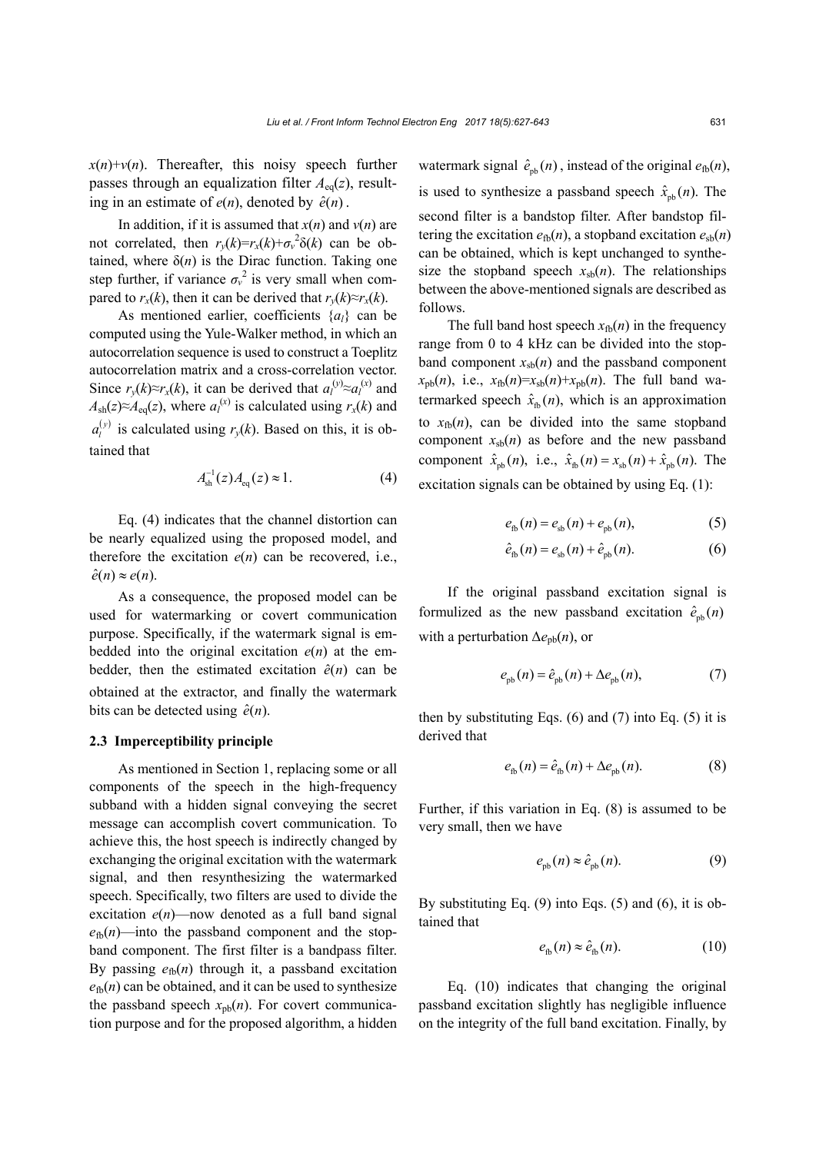$x(n)+v(n)$ . Thereafter, this noisy speech further passes through an equalization filter  $A_{eq}(z)$ , resulting in an estimate of  $e(n)$ , denoted by  $\hat{e}(n)$ .

In addition, if it is assumed that  $x(n)$  and  $v(n)$  are not correlated, then  $r_y(k)=r_x(k)+\sigma_y^2\delta(k)$  can be obtained, where  $\delta(n)$  is the Dirac function. Taking one step further, if variance  $\sigma_v^2$  is very small when compared to  $r_x(k)$ , then it can be derived that  $r_y(k) \approx r_x(k)$ .

As mentioned earlier, coefficients  $\{a_i\}$  can be computed using the Yule-Walker method, in which an autocorrelation sequence is used to construct a Toeplitz autocorrelation matrix and a cross-correlation vector. Since  $r_y(k) \approx r_x(k)$ , it can be derived that  $a_l^{(y)} \approx a_l^{(x)}$  and  $A_{\rm sh}(z) \approx A_{\rm eq}(z)$ , where  $a_l^{(x)}$  is calculated using  $r_x(k)$  and  $a_l^{(y)}$  is calculated using  $r_y(k)$ . Based on this, it is obtained that

$$
A_{\rm sh}^{-1}(z)A_{\rm eq}(z) \approx 1.
$$
 (4)

Eq. (4) indicates that the channel distortion can be nearly equalized using the proposed model, and therefore the excitation  $e(n)$  can be recovered, i.e.,  $\hat{e}(n) \approx e(n)$ .

As a consequence, the proposed model can be used for watermarking or covert communication purpose. Specifically, if the watermark signal is embedded into the original excitation  $e(n)$  at the embedder, then the estimated excitation  $\hat{e}(n)$  can be obtained at the extractor, and finally the watermark bits can be detected using  $\hat{e}(n)$ .

#### **2.3 Imperceptibility principle**

As mentioned in Section 1, replacing some or all components of the speech in the high-frequency subband with a hidden signal conveying the secret message can accomplish covert communication. To achieve this, the host speech is indirectly changed by exchanging the original excitation with the watermark signal, and then resynthesizing the watermarked speech. Specifically, two filters are used to divide the excitation  $e(n)$ —now denoted as a full band signal  $e_{\text{fb}}(n)$ —into the passband component and the stopband component. The first filter is a bandpass filter. By passing  $e_{fb}(n)$  through it, a passband excitation  $e_{\text{fb}}(n)$  can be obtained, and it can be used to synthesize the passband speech  $x_{nb}(n)$ . For covert communication purpose and for the proposed algorithm, a hidden

watermark signal  $\hat{e}_{pb}(n)$ , instead of the original  $e_{fb}(n)$ , is used to synthesize a passband speech  $\hat{x}_{\text{pb}}(n)$ . The second filter is a bandstop filter. After bandstop filtering the excitation  $e_{\text{fb}}(n)$ , a stopband excitation  $e_{\text{sb}}(n)$ can be obtained, which is kept unchanged to synthesize the stopband speech  $x_{sb}(n)$ . The relationships between the above-mentioned signals are described as follows.

The full band host speech  $x_{\text{fb}}(n)$  in the frequency range from 0 to 4 kHz can be divided into the stopband component  $x_{sb}(n)$  and the passband component  $x_{pb}(n)$ , i.e.,  $x_{fb}(n)=x_{sb}(n)+x_{pb}(n)$ . The full band watermarked speech  $\hat{x}_n(n)$ , which is an approximation to  $x_{\text{fb}}(n)$ , can be divided into the same stopband component  $x_{sb}(n)$  as before and the new passband component  $\hat{x}_{\text{pb}}(n)$ , i.e.,  $\hat{x}_{\text{fb}}(n) = x_{\text{sb}}(n) + \hat{x}_{\text{pb}}(n)$ . The excitation signals can be obtained by using Eq. (1):

$$
e_{\text{fb}}(n) = e_{\text{sb}}(n) + e_{\text{pb}}(n),
$$
 (5)

$$
\hat{e}_{\text{fb}}(n) = e_{\text{sb}}(n) + \hat{e}_{\text{pb}}(n).
$$
 (6)

If the original passband excitation signal is formulized as the new passband excitation  $\hat{e}_{\rm pb} (n)$ with a perturbation  $\Delta e_{\rm pb}(n)$ , or

$$
e_{\text{pb}}(n) = \hat{e}_{\text{pb}}(n) + \Delta e_{\text{pb}}(n),\tag{7}
$$

then by substituting Eqs.  $(6)$  and  $(7)$  into Eq.  $(5)$  it is derived that

$$
e_{\text{fb}}(n) = \hat{e}_{\text{fb}}(n) + \Delta e_{\text{pb}}(n). \tag{8}
$$

Further, if this variation in Eq. (8) is assumed to be very small, then we have

$$
e_{\rm pb}(n) \approx \hat{e}_{\rm pb}(n). \tag{9}
$$

By substituting Eq. (9) into Eqs. (5) and (6), it is obtained that

$$
e_{\text{fb}}(n) \approx \hat{e}_{\text{fb}}(n). \tag{10}
$$

Eq. (10) indicates that changing the original passband excitation slightly has negligible influence on the integrity of the full band excitation. Finally, by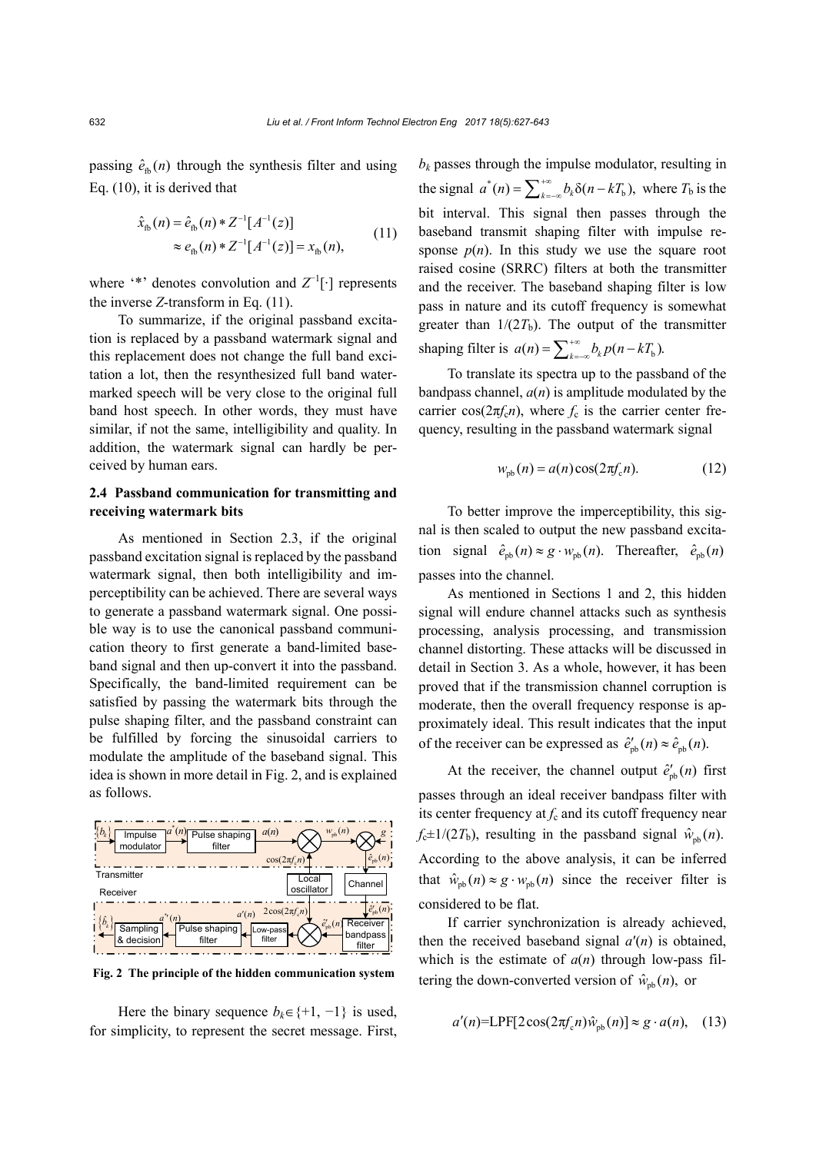passing  $\hat{e}_{\text{th}}(n)$  through the synthesis filter and using Eq. (10), it is derived that

$$
\hat{x}_{\text{fb}}(n) = \hat{e}_{\text{fb}}(n) * Z^{-1}[A^{-1}(z)]
$$
  
\n
$$
\approx e_{\text{fb}}(n) * Z^{-1}[A^{-1}(z)] = x_{\text{fb}}(n),
$$
\n(11)

where '\*' denotes convolution and  $Z^{-1}[\cdot]$  represents the inverse *Z*-transform in Eq. (11).

To summarize, if the original passband excitation is replaced by a passband watermark signal and this replacement does not change the full band excitation a lot, then the resynthesized full band watermarked speech will be very close to the original full band host speech. In other words, they must have similar, if not the same, intelligibility and quality. In addition, the watermark signal can hardly be perceived by human ears.

## **2.4 Passband communication for transmitting and receiving watermark bits**

As mentioned in Section 2.3, if the original passband excitation signal is replaced by the passband watermark signal, then both intelligibility and imperceptibility can be achieved. There are several ways to generate a passband watermark signal. One possible way is to use the canonical passband communication theory to first generate a band-limited baseband signal and then up-convert it into the passband. Specifically, the band-limited requirement can be satisfied by passing the watermark bits through the pulse shaping filter, and the passband constraint can be fulfilled by forcing the sinusoidal carriers to modulate the amplitude of the baseband signal. This idea is shown in more detail in Fig. 2, and is explained as follows.



**Fig. 2 The principle of the hidden communication system**

Here the binary sequence  $b_k \in \{+1, -1\}$  is used, for simplicity, to represent the secret message. First,  $b_k$  passes through the impulse modulator, resulting in the signal  $a^*(n) = \sum_{k=-\infty}^{+\infty} b_k \delta(n - kT_b)$ , where  $T_b$  is the bit interval. This signal then passes through the baseband transmit shaping filter with impulse response  $p(n)$ . In this study we use the square root raised cosine (SRRC) filters at both the transmitter and the receiver. The baseband shaping filter is low pass in nature and its cutoff frequency is somewhat greater than  $1/(2T_b)$ . The output of the transmitter shaping filter is  $a(n) = \sum_{k=-\infty}^{+\infty} b_k p(n - kT_b)$ .

To translate its spectra up to the passband of the bandpass channel, *a*(*n*) is amplitude modulated by the carrier  $cos(2\pi f_c n)$ , where  $f_c$  is the carrier center frequency, resulting in the passband watermark signal

$$
w_{\text{pb}}(n) = a(n)\cos(2\pi f_c n). \tag{12}
$$

To better improve the imperceptibility, this signal is then scaled to output the new passband excitation signal  $\hat{e}_{pb}(n) \approx g \cdot w_{pb}(n)$ . Thereafter,  $\hat{e}_{pb}(n)$ passes into the channel.

As mentioned in Sections 1 and 2, this hidden signal will endure channel attacks such as synthesis processing, analysis processing, and transmission channel distorting. These attacks will be discussed in detail in Section 3. As a whole, however, it has been proved that if the transmission channel corruption is moderate, then the overall frequency response is approximately ideal. This result indicates that the input of the receiver can be expressed as  $\hat{e}_{\text{pb}}'(n) \approx \hat{e}_{\text{pb}}(n)$ .

At the receiver, the channel output  $\hat{e}'_{\text{nb}}(n)$  first passes through an ideal receiver bandpass filter with its center frequency at  $f_c$  and its cutoff frequency near  $f_c \pm 1/(2T_b)$ , resulting in the passband signal  $\hat{w}_{pb}(n)$ . According to the above analysis, it can be inferred that  $\hat{w}_{\text{pb}}(n) \approx g \cdot w_{\text{pb}}(n)$  since the receiver filter is considered to be flat.

If carrier synchronization is already achieved, then the received baseband signal *a*′(*n*) is obtained, which is the estimate of  $a(n)$  through low-pass filtering the down-converted version of  $\hat{w}_{\text{nb}}(n)$ , or

$$
a'(n) = \text{LPF}[2\cos(2\pi f_c n)\hat{w}_{\text{pb}}(n)] \approx g \cdot a(n), \quad (13)
$$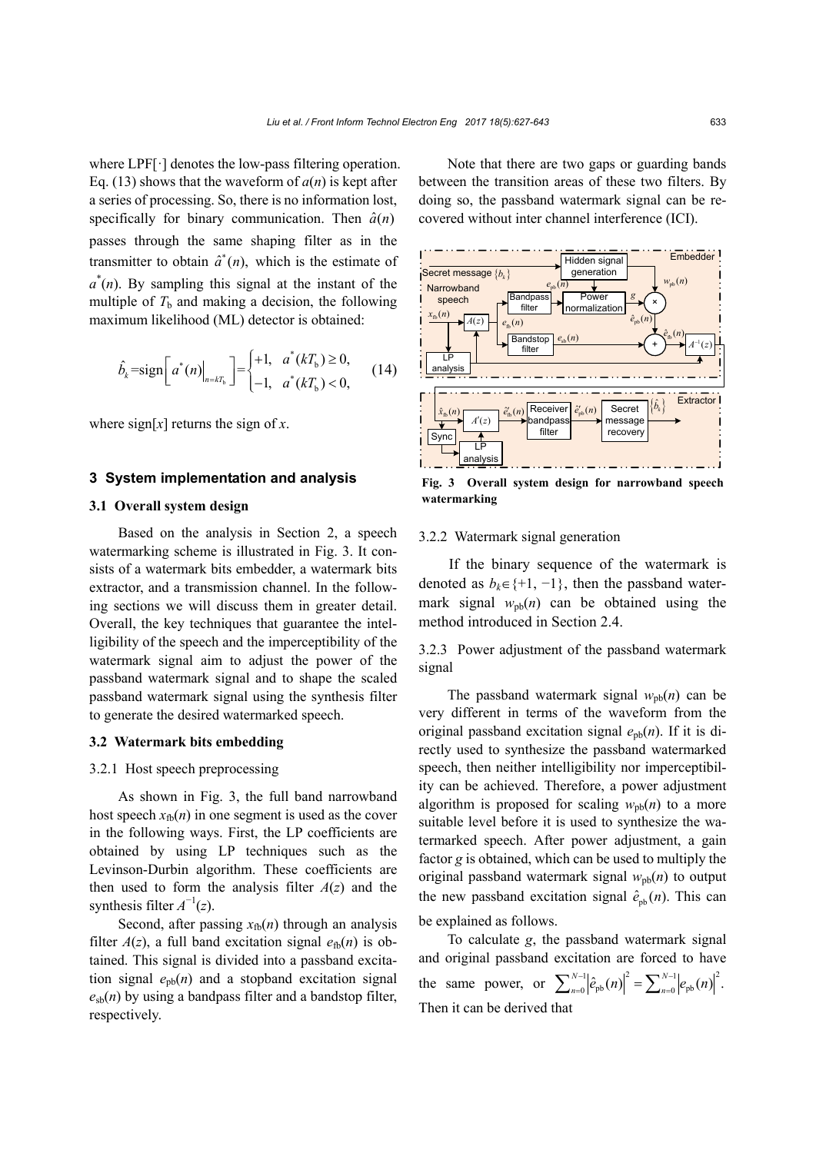where LPF[·] denotes the low-pass filtering operation. Eq. (13) shows that the waveform of  $a(n)$  is kept after a series of processing. So, there is no information lost, specifically for binary communication. Then  $\hat{a}(n)$ passes through the same shaping filter as in the transmitter to obtain  $\hat{a}^*(n)$ , which is the estimate of  $a^*(n)$ . By sampling this signal at the instant of the multiple of  $T<sub>b</sub>$  and making a decision, the following maximum likelihood (ML) detector is obtained:

$$
\hat{b}_k = \text{sign}\left[a^*(n)\Big|_{n=kT_b}\right] = \begin{cases} +1, & a^*(kT_b) \ge 0, \\ -1, & a^*(kT_b) < 0, \end{cases} \tag{14}
$$

where  $sign[x]$  returns the sign of *x*.

#### **3 System implementation and analysis**

#### **3.1 Overall system design**

Based on the analysis in Section 2, a speech watermarking scheme is illustrated in Fig. 3. It consists of a watermark bits embedder, a watermark bits extractor, and a transmission channel. In the following sections we will discuss them in greater detail. Overall, the key techniques that guarantee the intelligibility of the speech and the imperceptibility of the watermark signal aim to adjust the power of the passband watermark signal and to shape the scaled passband watermark signal using the synthesis filter to generate the desired watermarked speech.

#### **3.2 Watermark bits embedding**

## 3.2.1 Host speech preprocessing

As shown in Fig. 3, the full band narrowband host speech  $x_{\text{fb}}(n)$  in one segment is used as the cover in the following ways. First, the LP coefficients are obtained by using LP techniques such as the Levinson-Durbin algorithm. These coefficients are then used to form the analysis filter  $A(z)$  and the synthesis filter  $A^{-1}(z)$ .

Second, after passing  $x_{\text{fb}}(n)$  through an analysis filter  $A(z)$ , a full band excitation signal  $e_{fb}(n)$  is obtained. This signal is divided into a passband excitation signal  $e_{pb}(n)$  and a stopband excitation signal  $e_{sb}(n)$  by using a bandpass filter and a bandstop filter, respectively.

Note that there are two gaps or guarding bands between the transition areas of these two filters. By doing so, the passband watermark signal can be recovered without inter channel interference (ICI).



**Fig. 3 Overall system design for narrowband speech watermarking** 

## 3.2.2 Watermark signal generation

If the binary sequence of the watermark is denoted as  $b_k \in \{+1, -1\}$ , then the passband watermark signal  $w_{\text{pb}}(n)$  can be obtained using the method introduced in Section 2.4.

3.2.3 Power adjustment of the passband watermark signal

The passband watermark signal  $w_{pb}(n)$  can be very different in terms of the waveform from the original passband excitation signal  $e_{\rm pb}(n)$ . If it is directly used to synthesize the passband watermarked speech, then neither intelligibility nor imperceptibility can be achieved. Therefore, a power adjustment algorithm is proposed for scaling  $w_{\text{pb}}(n)$  to a more suitable level before it is used to synthesize the watermarked speech. After power adjustment, a gain factor *g* is obtained, which can be used to multiply the original passband watermark signal  $w_{pb}(n)$  to output the new passband excitation signal  $\hat{e}_{\rm ph} (n)$ . This can be explained as follows.

To calculate *g*, the passband watermark signal and original passband excitation are forced to have the same power, or  $\sum_{n=0}^{N-1} |\hat{e}_{pb}(n)|^2 = \sum_{n=0}^{N-1} |e_{pb}(n)|^2$ . Then it can be derived that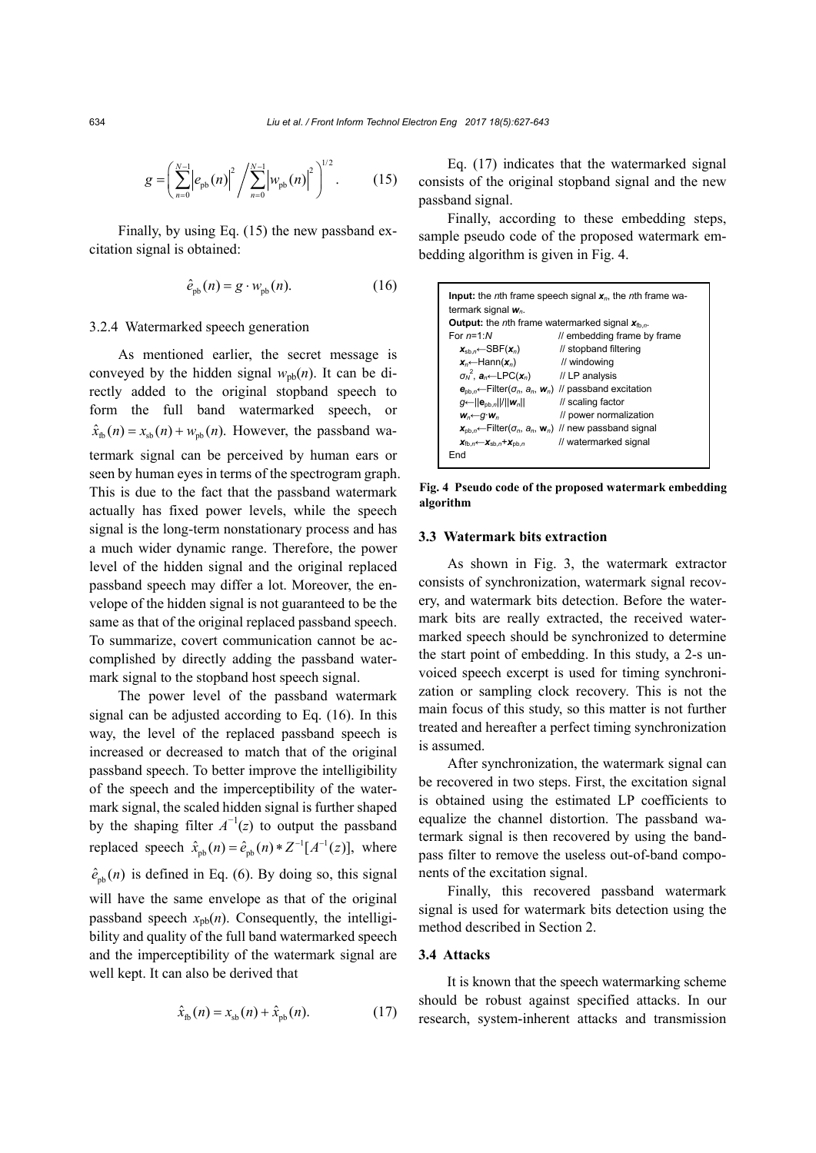$$
g = \left(\sum_{n=0}^{N-1} \left| e_{\text{pb}}(n) \right|^2 / \sum_{n=0}^{N-1} \left| w_{\text{pb}}(n) \right|^2 \right)^{1/2} . \tag{15}
$$

Finally, by using Eq. (15) the new passband excitation signal is obtained:

$$
\hat{e}_{\text{pb}}(n) = g \cdot w_{\text{pb}}(n). \tag{16}
$$

## 3.2.4 Watermarked speech generation

As mentioned earlier, the secret message is conveyed by the hidden signal  $w_{\text{pb}}(n)$ . It can be directly added to the original stopband speech to form the full band watermarked speech, or  $\hat{x}_{\text{th}} (n) = x_{\text{sh}} (n) + w_{\text{ph}} (n)$ . However, the passband watermark signal can be perceived by human ears or seen by human eyes in terms of the spectrogram graph. This is due to the fact that the passband watermark actually has fixed power levels, while the speech signal is the long-term nonstationary process and has a much wider dynamic range. Therefore, the power level of the hidden signal and the original replaced passband speech may differ a lot. Moreover, the envelope of the hidden signal is not guaranteed to be the same as that of the original replaced passband speech. To summarize, covert communication cannot be accomplished by directly adding the passband watermark signal to the stopband host speech signal.

The power level of the passband watermark signal can be adjusted according to Eq. (16). In this way, the level of the replaced passband speech is increased or decreased to match that of the original passband speech. To better improve the intelligibility of the speech and the imperceptibility of the watermark signal, the scaled hidden signal is further shaped by the shaping filter  $A^{-1}(z)$  to output the passband replaced speech  $\hat{x}_{pb}(n) = \hat{e}_{pb}(n) * Z^{-1}[A^{-1}(z)]$ , where  $\hat{e}_{nh}(n)$  is defined in Eq. (6). By doing so, this signal will have the same envelope as that of the original passband speech  $x_{pb}(n)$ . Consequently, the intelligibility and quality of the full band watermarked speech and the imperceptibility of the watermark signal are well kept. It can also be derived that

$$
\hat{x}_{\text{fb}}(n) = x_{\text{sb}}(n) + \hat{x}_{\text{pb}}(n). \tag{17}
$$

Eq. (17) indicates that the watermarked signal consists of the original stopband signal and the new passband signal.

Finally, according to these embedding steps, sample pseudo code of the proposed watermark embedding algorithm is given in Fig. 4.

| <b>Input:</b> the <i>n</i> th frame speech signal $x_n$ , the <i>n</i> th frame wa-<br>termark signal $w_{n}$ .<br><b>Output:</b> the <i>n</i> th frame watermarked signal $x_{\text{fn}}$ . |                                                                                             |  |  |  |  |
|----------------------------------------------------------------------------------------------------------------------------------------------------------------------------------------------|---------------------------------------------------------------------------------------------|--|--|--|--|
| For $n=1:N$                                                                                                                                                                                  | // embedding frame by frame                                                                 |  |  |  |  |
| $\mathbf{x}_{\text{sh},n} \leftarrow \text{SBF}(\mathbf{x}_n)$                                                                                                                               | // stopband filtering                                                                       |  |  |  |  |
| $\mathbf{x}_n \leftarrow \text{Hann}(\mathbf{x}_n)$                                                                                                                                          | // windowing                                                                                |  |  |  |  |
| $\sigma_{N}^{2}$ , $a_{n} \leftarrow \text{LPC}(\mathbf{x}_{n})$                                                                                                                             | // LP analysis                                                                              |  |  |  |  |
|                                                                                                                                                                                              | ${\bf e}_{\rm ob}$ $\sim$ Filter( $\sigma_n$ , $a_n$ , ${\bf w}_n$ ) // passband excitation |  |  |  |  |
| $g \leftarrow   {\bf e}_{\text{ob}}  /  {\bf w}_n  $                                                                                                                                         | // scaling factor                                                                           |  |  |  |  |
| $W_n \leftarrow Q \cdot W_n$                                                                                                                                                                 | // power normalization                                                                      |  |  |  |  |
| $\mathbf{x}_{\text{ob},n}$ – Filter( $\sigma_n$ , $\mathbf{a}_n$ , $\mathbf{w}_n$ ) // new passband signal                                                                                   |                                                                                             |  |  |  |  |
| // watermarked signal<br>$X_{\text{fb},n} \leftarrow X_{\text{sb},n} + X_{\text{rb},n}$                                                                                                      |                                                                                             |  |  |  |  |
| Fnd                                                                                                                                                                                          |                                                                                             |  |  |  |  |

**Fig. 4 Pseudo code of the proposed watermark embedding algorithm** 

#### **3.3 Watermark bits extraction**

As shown in Fig. 3, the watermark extractor consists of synchronization, watermark signal recovery, and watermark bits detection. Before the watermark bits are really extracted, the received watermarked speech should be synchronized to determine the start point of embedding. In this study, a 2-s unvoiced speech excerpt is used for timing synchronization or sampling clock recovery. This is not the main focus of this study, so this matter is not further treated and hereafter a perfect timing synchronization is assumed.

After synchronization, the watermark signal can be recovered in two steps. First, the excitation signal is obtained using the estimated LP coefficients to equalize the channel distortion. The passband watermark signal is then recovered by using the bandpass filter to remove the useless out-of-band components of the excitation signal.

Finally, this recovered passband watermark signal is used for watermark bits detection using the method described in Section 2.

# **3.4 Attacks**

It is known that the speech watermarking scheme should be robust against specified attacks. In our research, system-inherent attacks and transmission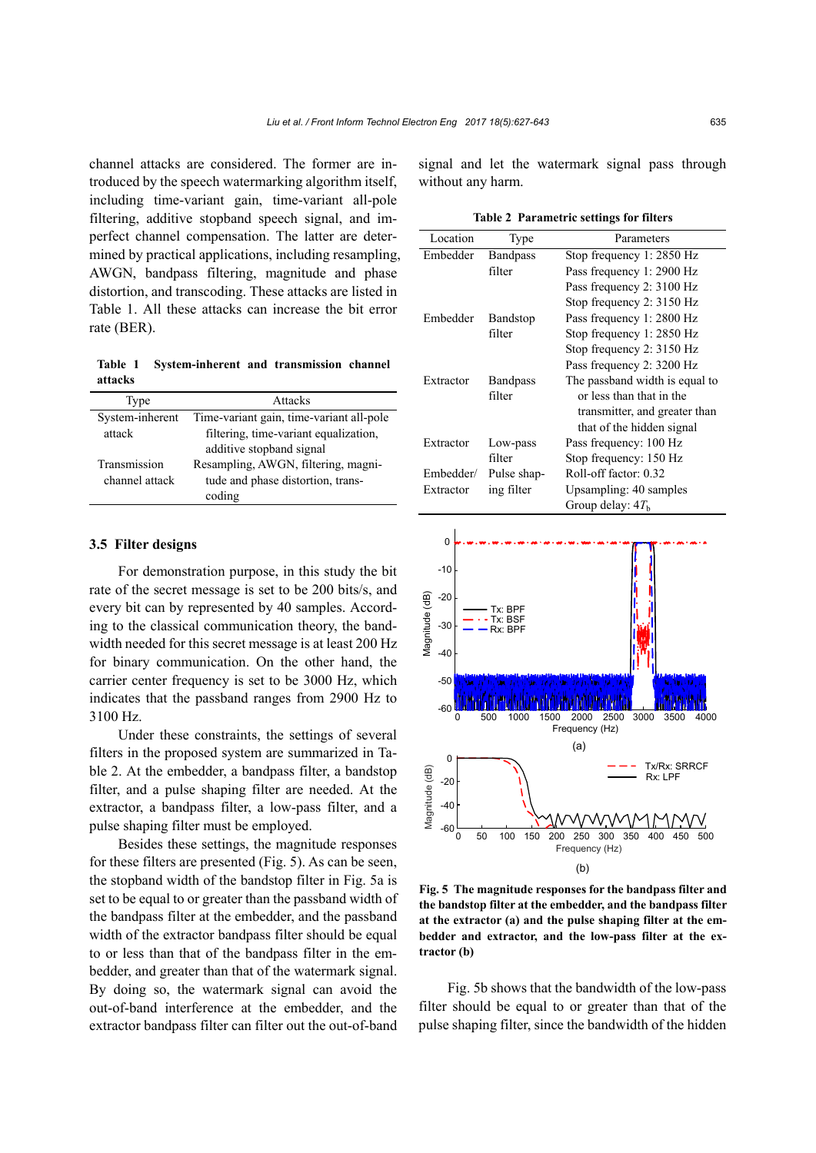channel attacks are considered. The former are introduced by the speech watermarking algorithm itself, including time-variant gain, time-variant all-pole filtering, additive stopband speech signal, and imperfect channel compensation. The latter are determined by practical applications, including resampling, AWGN, bandpass filtering, magnitude and phase distortion, and transcoding. These attacks are listed in Table 1. All these attacks can increase the bit error rate (BER).

**Table 1 System-inherent and transmission channel attacks** 

| Type            | <b>Attacks</b>                           |
|-----------------|------------------------------------------|
| System-inherent | Time-variant gain, time-variant all-pole |
| attack          | filtering, time-variant equalization,    |
|                 | additive stopband signal                 |
| Transmission    | Resampling, AWGN, filtering, magni-      |
| channel attack  | tude and phase distortion, trans-        |
|                 | coding                                   |

#### **3.5 Filter designs**

For demonstration purpose, in this study the bit rate of the secret message is set to be 200 bits/s, and every bit can by represented by 40 samples. According to the classical communication theory, the bandwidth needed for this secret message is at least 200 Hz for binary communication. On the other hand, the carrier center frequency is set to be 3000 Hz, which indicates that the passband ranges from 2900 Hz to 3100 Hz.

Under these constraints, the settings of several filters in the proposed system are summarized in Table 2. At the embedder, a bandpass filter, a bandstop filter, and a pulse shaping filter are needed. At the extractor, a bandpass filter, a low-pass filter, and a pulse shaping filter must be employed.

Besides these settings, the magnitude responses for these filters are presented (Fig. 5). As can be seen, the stopband width of the bandstop filter in Fig. 5a is set to be equal to or greater than the passband width of the bandpass filter at the embedder, and the passband width of the extractor bandpass filter should be equal to or less than that of the bandpass filter in the embedder, and greater than that of the watermark signal. By doing so, the watermark signal can avoid the out-of-band interference at the embedder, and the extractor bandpass filter can filter out the out-of-band

signal and let the watermark signal pass through without any harm.

**Table 2 Parametric settings for filters** 

| Location  | Type            | Parameters                     |
|-----------|-----------------|--------------------------------|
| Embedder  | <b>Bandpass</b> | Stop frequency 1: 2850 Hz      |
|           | filter          | Pass frequency 1: 2900 Hz      |
|           |                 | Pass frequency 2: 3100 Hz      |
|           |                 | Stop frequency 2: 3150 Hz      |
| Embedder  | <b>Bandstop</b> | Pass frequency 1: 2800 Hz      |
|           | filter          | Stop frequency 1: 2850 Hz      |
|           |                 | Stop frequency 2: 3150 Hz      |
|           |                 | Pass frequency 2: 3200 Hz      |
| Extractor | <b>Bandpass</b> | The passband width is equal to |
|           | filter          | or less than that in the       |
|           |                 | transmitter, and greater than  |
|           |                 | that of the hidden signal      |
| Extractor | Low-pass        | Pass frequency: 100 Hz         |
|           | filter          | Stop frequency: 150 Hz         |
| Embedder/ | Pulse shap-     | Roll-off factor: 0.32          |
| Extractor | ing filter      | Upsampling: 40 samples         |
|           |                 | Group delay: $4Tb$             |



**Fig. 5 The magnitude responses for the bandpass filter and the bandstop filter at the embedder, and the bandpass filter at the extractor (a) and the pulse shaping filter at the embedder and extractor, and the low-pass filter at the extractor (b)** 

Fig. 5b shows that the bandwidth of the low-pass filter should be equal to or greater than that of the pulse shaping filter, since the bandwidth of the hidden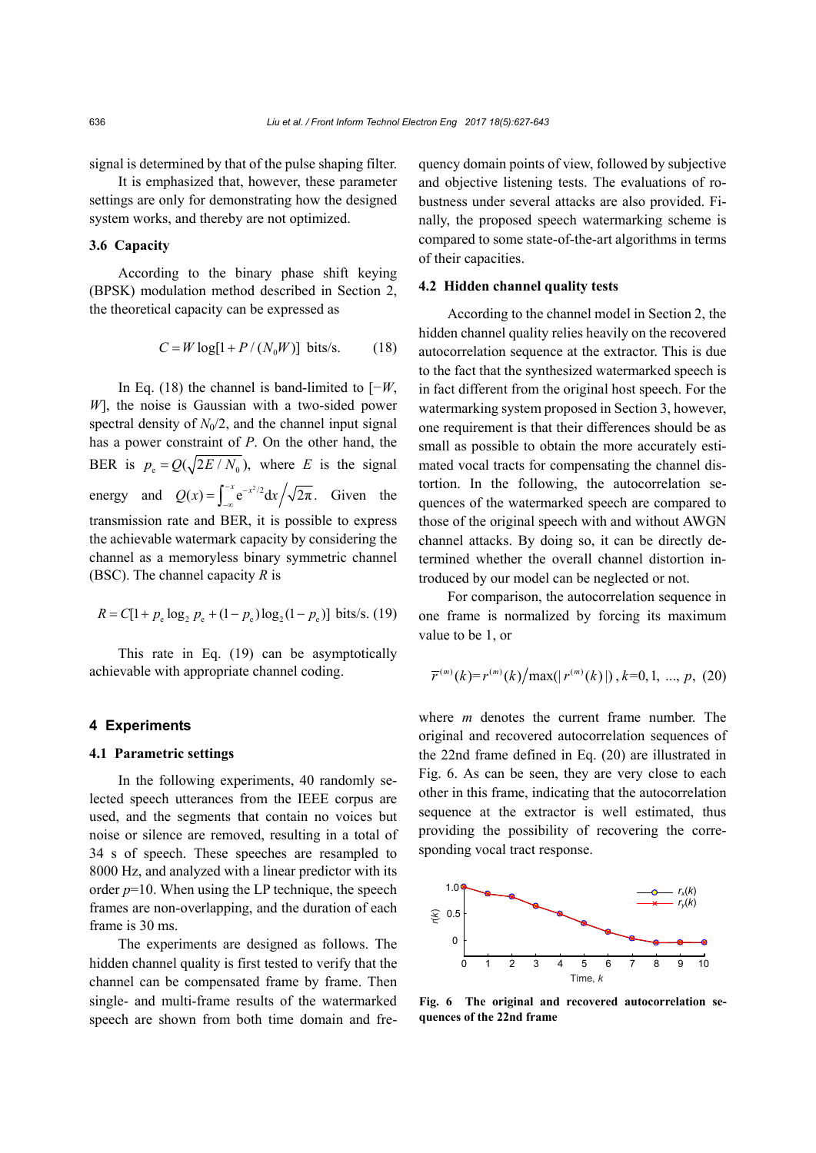signal is determined by that of the pulse shaping filter.

It is emphasized that, however, these parameter settings are only for demonstrating how the designed system works, and thereby are not optimized.

## **3.6 Capacity**

According to the binary phase shift keying (BPSK) modulation method described in Section 2, the theoretical capacity can be expressed as

$$
C = W \log[1 + P/(N_0 W)] \text{ bits/s.} \qquad (18)
$$

In Eq. (18) the channel is band-limited to [−*W*, *W*], the noise is Gaussian with a two-sided power spectral density of  $N_0/2$ , and the channel input signal has a power constraint of *P*. On the other hand, the BER is  $p_e = Q(\sqrt{2E/N_0})$ , where *E* is the signal energy and  $Q(x) = \int_{-\infty}^{-x} e^{-x^2/2} dx \sqrt{\sqrt{2\pi}}$ . Given the transmission rate and BER, it is possible to express the achievable watermark capacity by considering the channel as a memoryless binary symmetric channel (BSC). The channel capacity *R* is

$$
R = C[1 + p_e \log_2 p_e + (1 - p_e) \log_2 (1 - p_e)]
$$
 bits/s. (19)

This rate in Eq. (19) can be asymptotically achievable with appropriate channel coding.

#### **4 Experiments**

#### **4.1 Parametric settings**

In the following experiments, 40 randomly selected speech utterances from the IEEE corpus are used, and the segments that contain no voices but noise or silence are removed, resulting in a total of 34 s of speech. These speeches are resampled to 8000 Hz, and analyzed with a linear predictor with its order  $p=10$ . When using the LP technique, the speech frames are non-overlapping, and the duration of each frame is 30 ms.

The experiments are designed as follows. The hidden channel quality is first tested to verify that the channel can be compensated frame by frame. Then single- and multi-frame results of the watermarked speech are shown from both time domain and frequency domain points of view, followed by subjective and objective listening tests. The evaluations of robustness under several attacks are also provided. Finally, the proposed speech watermarking scheme is compared to some state-of-the-art algorithms in terms of their capacities.

#### **4.2 Hidden channel quality tests**

According to the channel model in Section 2, the hidden channel quality relies heavily on the recovered autocorrelation sequence at the extractor. This is due to the fact that the synthesized watermarked speech is in fact different from the original host speech. For the watermarking system proposed in Section 3, however, one requirement is that their differences should be as small as possible to obtain the more accurately estimated vocal tracts for compensating the channel distortion. In the following, the autocorrelation sequences of the watermarked speech are compared to those of the original speech with and without AWGN channel attacks. By doing so, it can be directly determined whether the overall channel distortion introduced by our model can be neglected or not.

For comparison, the autocorrelation sequence in one frame is normalized by forcing its maximum value to be 1, or

$$
\overline{r}^{(m)}(k) = r^{(m)}(k)/\max(|r^{(m)}(k)|), k=0,1, ..., p, (20)
$$

where *m* denotes the current frame number. The original and recovered autocorrelation sequences of the 22nd frame defined in Eq. (20) are illustrated in Fig. 6. As can be seen, they are very close to each other in this frame, indicating that the autocorrelation sequence at the extractor is well estimated, thus providing the possibility of recovering the corresponding vocal tract response.



**Fig. 6 The original and recovered autocorrelation sequences of the 22nd frame**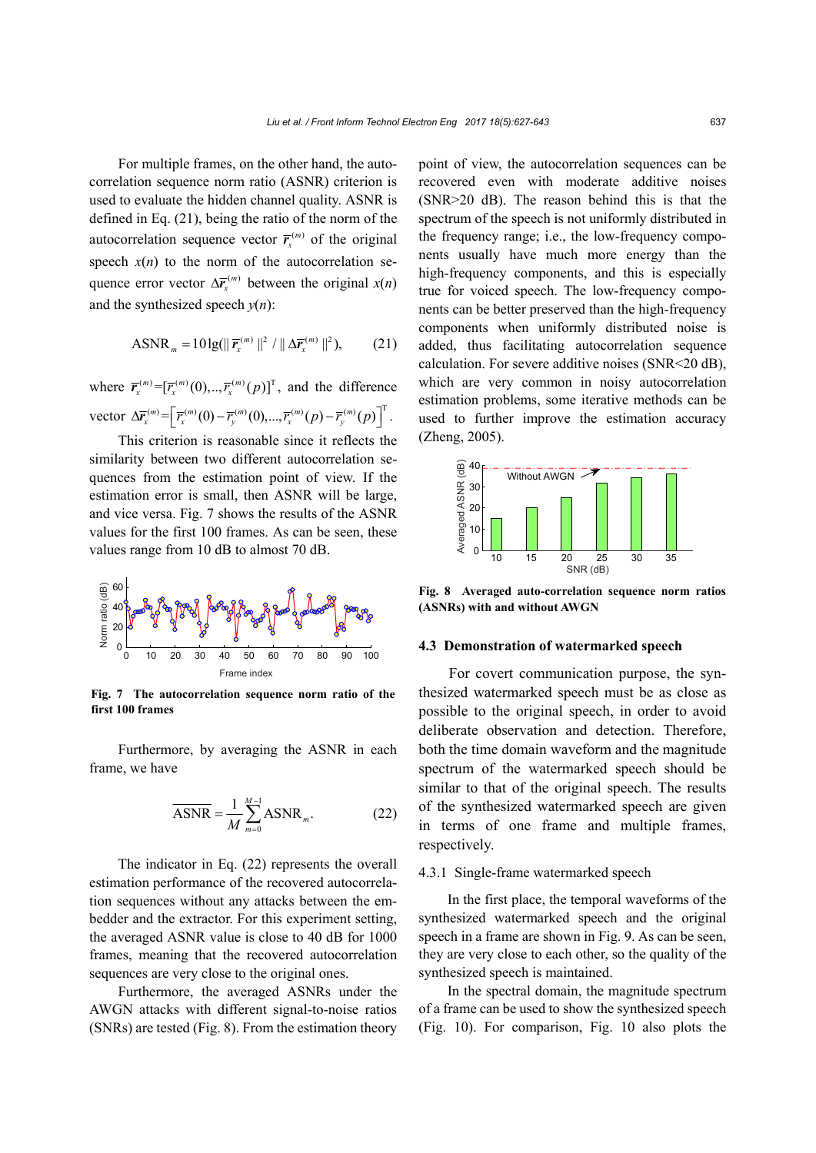For multiple frames, on the other hand, the autocorrelation sequence norm ratio (ASNR) criterion is used to evaluate the hidden channel quality. ASNR is defined in Eq. (21), being the ratio of the norm of the autocorrelation sequence vector  $\overline{r}_x^{(m)}$  of the original speech  $x(n)$  to the norm of the autocorrelation sequence error vector  $\Delta \overline{r}_x^{(m)}$  between the original  $x(n)$ and the synthesized speech  $y(n)$ :

$$
\text{ASNR}_{m} = 10 \lg(\|\overline{\mathbf{r}}_{x}^{(m)}\|^{2} / \|\Delta \overline{\mathbf{r}}_{x}^{(m)}\|^{2}), \quad (21)
$$

where  $\overline{r}_x^{(m)} = [\overline{r}_x^{(m)}(0), \dots, \overline{r}_x^{(m)}(p)]^T$ , and the difference vector  $\Delta \overline{\mathbf{r}}_x^{(m)} = [\overline{r}_x^{(m)}(0) - \overline{r}_y^{(m)}(0), ..., \overline{r}_x^{(m)}(p) - \overline{r}_y^{(m)}(p)]^T$ .

This criterion is reasonable since it reflects the similarity between two different autocorrelation sequences from the estimation point of view. If the estimation error is small, then ASNR will be large, and vice versa. Fig. 7 shows the results of the ASNR values for the first 100 frames. As can be seen, these values range from 10 dB to almost 70 dB.



**Fig. 7 The autocorrelation sequence norm ratio of the first 100 frames** 

Furthermore, by averaging the ASNR in each frame, we have

$$
\overline{\text{ASNR}} = \frac{1}{M} \sum_{m=0}^{M-1} \text{ASNR}_m.
$$
 (22)

The indicator in Eq. (22) represents the overall estimation performance of the recovered autocorrelation sequences without any attacks between the embedder and the extractor. For this experiment setting, the averaged ASNR value is close to 40 dB for 1000 frames, meaning that the recovered autocorrelation sequences are very close to the original ones.

Furthermore, the averaged ASNRs under the AWGN attacks with different signal-to-noise ratios (SNRs) are tested (Fig. 8). From the estimation theory

point of view, the autocorrelation sequences can be recovered even with moderate additive noises (SNR>20 dB). The reason behind this is that the spectrum of the speech is not uniformly distributed in the frequency range; i.e., the low-frequency components usually have much more energy than the high-frequency components, and this is especially true for voiced speech. The low-frequency components can be better preserved than the high-frequency components when uniformly distributed noise is added, thus facilitating autocorrelation sequence calculation. For severe additive noises (SNR<20 dB), which are very common in noisy autocorrelation estimation problems, some iterative methods can be used to further improve the estimation accuracy (Zheng, 2005).



**Fig. 8 Averaged auto-correlation sequence norm ratios (ASNRs) with and without AWGN** 

#### **4.3 Demonstration of watermarked speech**

For covert communication purpose, the synthesized watermarked speech must be as close as possible to the original speech, in order to avoid deliberate observation and detection. Therefore, both the time domain waveform and the magnitude spectrum of the watermarked speech should be similar to that of the original speech. The results of the synthesized watermarked speech are given in terms of one frame and multiple frames, respectively.

#### 4.3.1 Single-frame watermarked speech

In the first place, the temporal waveforms of the synthesized watermarked speech and the original speech in a frame are shown in Fig. 9. As can be seen, they are very close to each other, so the quality of the synthesized speech is maintained.

In the spectral domain, the magnitude spectrum of a frame can be used to show the synthesized speech (Fig. 10). For comparison, Fig. 10 also plots the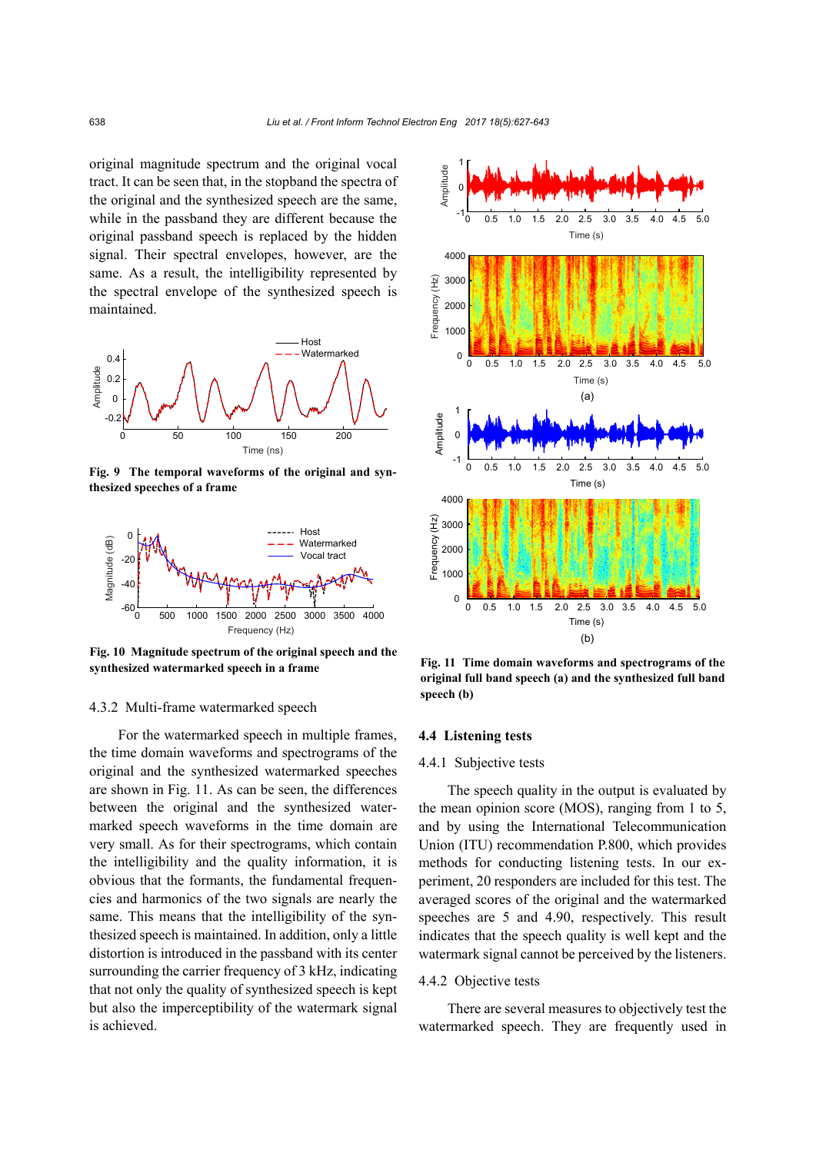original magnitude spectrum and the original vocal tract. It can be seen that, in the stopband the spectra of the original and the synthesized speech are the same, while in the passband they are different because the original passband speech is replaced by the hidden signal. Their spectral envelopes, however, are the same. As a result, the intelligibility represented by the spectral envelope of the synthesized speech is maintained.



**Fig. 9 The temporal waveforms of the original and synthesized speeches of a frame** 



**Fig. 10 Magnitude spectrum of the original speech and the synthesized watermarked speech in a frame** 

#### 4.3.2 Multi-frame watermarked speech

For the watermarked speech in multiple frames, the time domain waveforms and spectrograms of the original and the synthesized watermarked speeches are shown in Fig. 11. As can be seen, the differences between the original and the synthesized watermarked speech waveforms in the time domain are very small. As for their spectrograms, which contain the intelligibility and the quality information, it is obvious that the formants, the fundamental frequencies and harmonics of the two signals are nearly the same. This means that the intelligibility of the synthesized speech is maintained. In addition, only a little distortion is introduced in the passband with its center surrounding the carrier frequency of 3 kHz, indicating that not only the quality of synthesized speech is kept but also the imperceptibility of the watermark signal is achieved.



**Fig. 11 Time domain waveforms and spectrograms of the original full band speech (a) and the synthesized full band speech (b)** 

#### **4.4 Listening tests**

#### 4.4.1 Subjective tests

The speech quality in the output is evaluated by the mean opinion score (MOS), ranging from 1 to 5, and by using the International Telecommunication Union (ITU) recommendation P.800, which provides methods for conducting listening tests. In our experiment, 20 responders are included for this test. The averaged scores of the original and the watermarked speeches are 5 and 4.90, respectively. This result indicates that the speech quality is well kept and the watermark signal cannot be perceived by the listeners.

## 4.4.2 Objective tests

There are several measures to objectively test the watermarked speech. They are frequently used in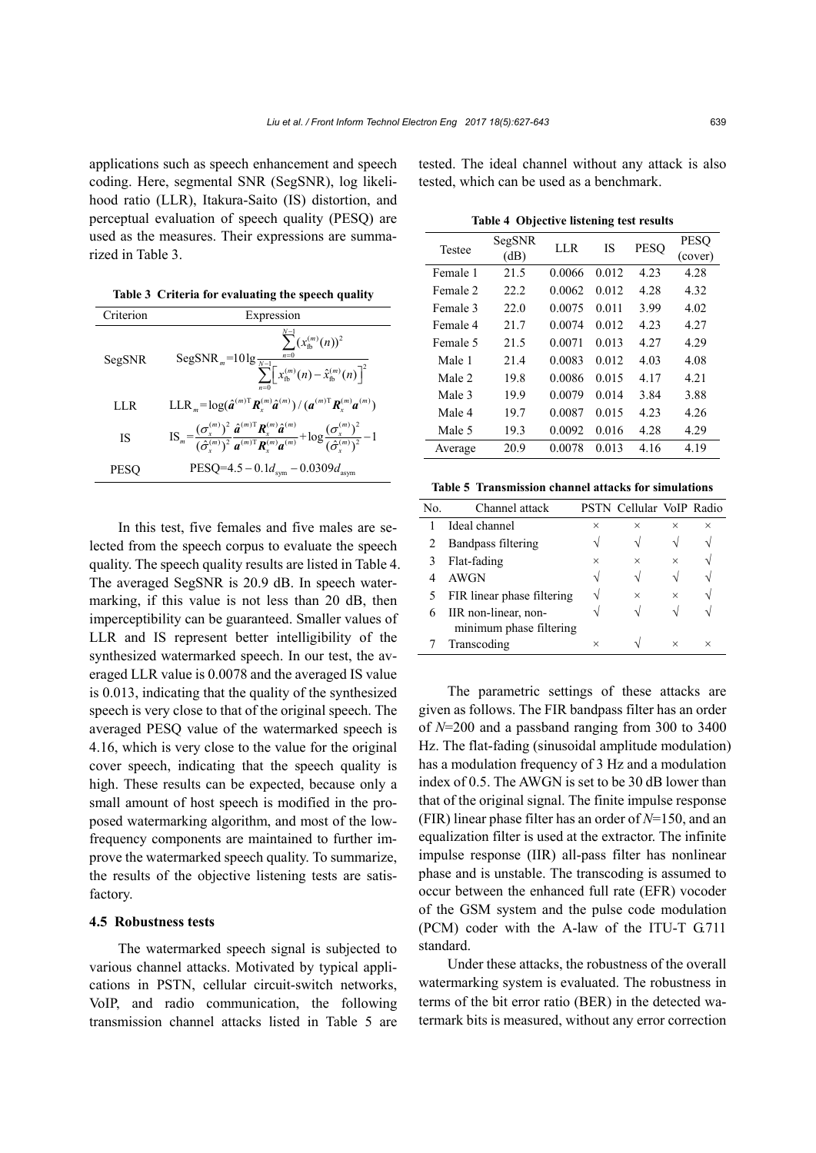applications such as speech enhancement and speech coding. Here, segmental SNR (SegSNR), log likelihood ratio (LLR), Itakura-Saito (IS) distortion, and perceptual evaluation of speech quality (PESQ) are used as the measures. Their expressions are summarized in Table 3.

| Table 3 Criteria for evaluating the speech quality |  |  |  |
|----------------------------------------------------|--|--|--|
|                                                    |  |  |  |

| Criterion | Expression                                                                                                                                                                                                                         |
|-----------|------------------------------------------------------------------------------------------------------------------------------------------------------------------------------------------------------------------------------------|
| SegSNR    | $\sum (x_{\text{fb}}^{(m)}(n))^2$<br>$n=0$<br>SegSNR <sub>m</sub> =10lg <sub>N-1</sub><br>$\sum \left[ x_{\text{fb}}^{(m)}(n) - \hat{x}_{\text{fb}}^{(m)}(n) \right]^2$                                                            |
| LLR       | LLR <sub>m</sub> =log( $\hat{a}^{(m)T}R_{x}^{(m)}\hat{a}^{(m)}$ )/( $a^{(m)T}R_{x}^{(m)}a^{(m)}$ )                                                                                                                                 |
| IS        | $\text{IS}_{m} = \frac{(\sigma_{x}^{(m)})^{2}}{(\hat{\sigma}_{x}^{(m)})^{2}} \frac{\hat{a}^{(m)T} R_{x}^{(m)} \hat{a}^{(m)}}{a^{(m)T} R_{x}^{(m)} a^{(m)}} + \log \frac{(\sigma_{x}^{(m)})^{2}}{(\hat{\sigma}_{x}^{(m)})^{2}} - 1$ |
| PESQ      | PESQ=4.5 – 0.1 $d_{sym}$ – 0.0309 $d_{asym}$                                                                                                                                                                                       |
|           |                                                                                                                                                                                                                                    |

In this test, five females and five males are selected from the speech corpus to evaluate the speech quality. The speech quality results are listed in Table 4. The averaged SegSNR is 20.9 dB. In speech watermarking, if this value is not less than 20 dB, then imperceptibility can be guaranteed. Smaller values of LLR and IS represent better intelligibility of the synthesized watermarked speech. In our test, the averaged LLR value is 0.0078 and the averaged IS value is 0.013, indicating that the quality of the synthesized speech is very close to that of the original speech. The averaged PESQ value of the watermarked speech is 4.16, which is very close to the value for the original cover speech, indicating that the speech quality is high. These results can be expected, because only a small amount of host speech is modified in the proposed watermarking algorithm, and most of the lowfrequency components are maintained to further improve the watermarked speech quality. To summarize, the results of the objective listening tests are satisfactory.

## **4.5 Robustness tests**

The watermarked speech signal is subjected to various channel attacks. Motivated by typical applications in PSTN, cellular circuit-switch networks, VoIP, and radio communication, the following transmission channel attacks listed in Table 5 are tested. The ideal channel without any attack is also tested, which can be used as a benchmark.

| Testee   | SegSNR | LLR    | IS    |             | <b>PESO</b> |
|----------|--------|--------|-------|-------------|-------------|
|          | (dB)   |        |       | <b>PESO</b> | (cover)     |
| Female 1 | 21.5   | 0.0066 | 0.012 | 4.23        | 4.28        |
| Female 2 | 22.2   | 0.0062 | 0.012 | 4.28        | 4.32        |
| Female 3 | 22.0   | 0.0075 | 0.011 | 3.99        | 4.02        |
| Female 4 | 21.7   | 0.0074 | 0.012 | 4.23        | 4.27        |
| Female 5 | 21.5   | 0.0071 | 0.013 | 4.27        | 4.29        |
| Male 1   | 21.4   | 0.0083 | 0.012 | 4.03        | 4.08        |
| Male 2   | 19.8   | 0.0086 | 0.015 | 4.17        | 4.21        |
| Male 3   | 19.9   | 0.0079 | 0.014 | 3.84        | 3.88        |
| Male 4   | 19.7   | 0.0087 | 0.015 | 4.23        | 4 26        |
| Male 5   | 19.3   | 0.0092 | 0.016 | 4.28        | 4.29        |
| Average  | 20.9   | 0.0078 | 0.013 | 4.16        | 4.19        |

**Table 5 Transmission channel attacks for simulations** 

| No. | Channel attack             |          | PSTN Cellular VoIP Radio |          |               |
|-----|----------------------------|----------|--------------------------|----------|---------------|
|     | Ideal channel              | $\times$ | $\times$                 | $\times$ | ×             |
|     | Bandpass filtering         | N        |                          |          | ٦             |
|     | Flat-fading                | $\times$ | $\times$                 | $\times$ | N             |
|     | <b>AWGN</b>                | N        | ٦                        | ٦        | ٦             |
| 5   | FIR linear phase filtering | N        | $\times$                 | $\times$ | $\mathcal{L}$ |
| 6   | IIR non-linear, non-       | ٦.       |                          |          |               |
|     | minimum phase filtering    |          |                          |          |               |
|     | Transcoding                | $\times$ | ٦                        | $\times$ | $\times$      |

The parametric settings of these attacks are given as follows. The FIR bandpass filter has an order of *N*=200 and a passband ranging from 300 to 3400 Hz. The flat-fading (sinusoidal amplitude modulation) has a modulation frequency of 3 Hz and a modulation index of 0.5. The AWGN is set to be 30 dB lower than that of the original signal. The finite impulse response (FIR) linear phase filter has an order of *N*=150, and an equalization filter is used at the extractor. The infinite impulse response (IIR) all-pass filter has nonlinear phase and is unstable. The transcoding is assumed to occur between the enhanced full rate (EFR) vocoder of the GSM system and the pulse code modulation (PCM) coder with the A-law of the ITU-T G.711 standard.

Under these attacks, the robustness of the overall watermarking system is evaluated. The robustness in terms of the bit error ratio (BER) in the detected watermark bits is measured, without any error correction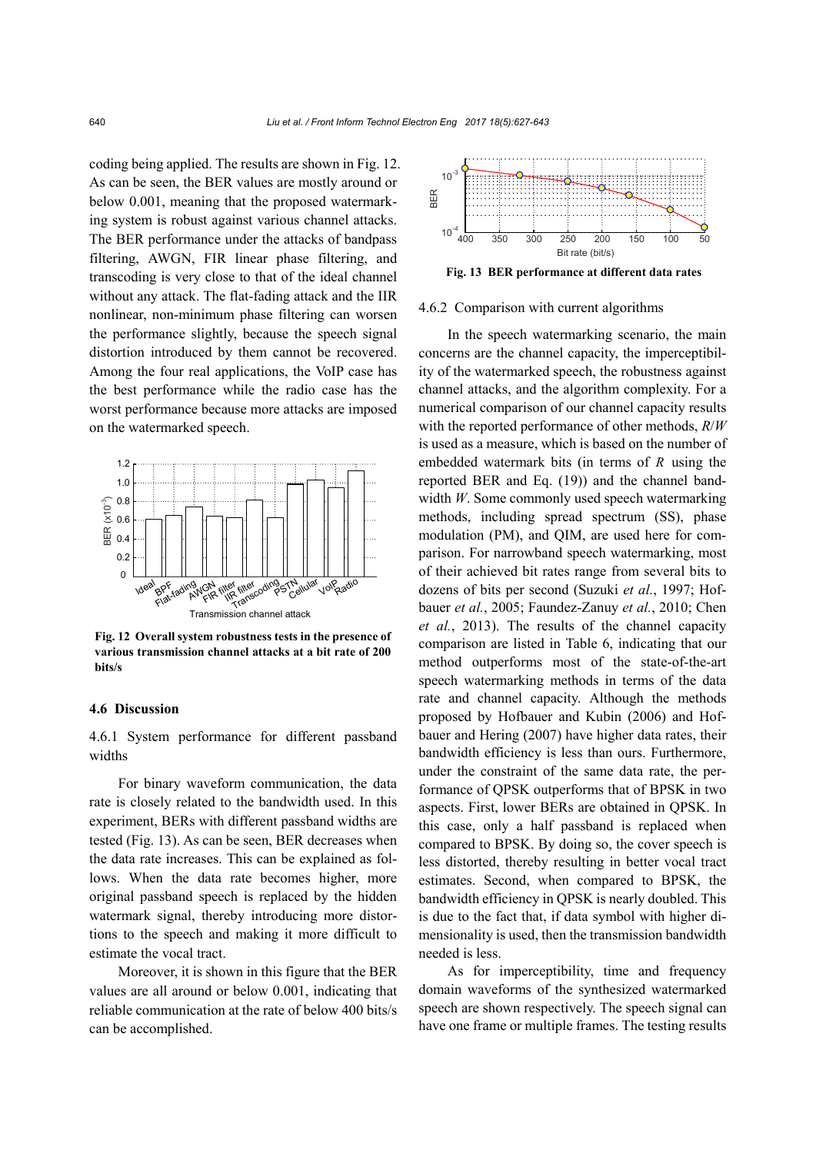coding being applied. The results are shown in Fig. 12. As can be seen, the BER values are mostly around or below 0.001, meaning that the proposed watermarking system is robust against various channel attacks. The BER performance under the attacks of bandpass filtering, AWGN, FIR linear phase filtering, and transcoding is very close to that of the ideal channel without any attack. The flat-fading attack and the IIR nonlinear, non-minimum phase filtering can worsen the performance slightly, because the speech signal distortion introduced by them cannot be recovered. Among the four real applications, the VoIP case has the best performance while the radio case has the worst performance because more attacks are imposed on the watermarked speech.



**Fig. 12 Overall system robustness tests in the presence of various transmission channel attacks at a bit rate of 200 bits/s** 

#### **4.6 Discussion**

4.6.1 System performance for different passband widths

For binary waveform communication, the data rate is closely related to the bandwidth used. In this experiment, BERs with different passband widths are tested (Fig. 13). As can be seen, BER decreases when the data rate increases. This can be explained as follows. When the data rate becomes higher, more original passband speech is replaced by the hidden watermark signal, thereby introducing more distortions to the speech and making it more difficult to estimate the vocal tract.

Moreover, it is shown in this figure that the BER values are all around or below 0.001, indicating that reliable communication at the rate of below 400 bits/s can be accomplished.



**Fig. 13 BER performance at different data rates** 

#### 4.6.2 Comparison with current algorithms

In the speech watermarking scenario, the main concerns are the channel capacity, the imperceptibility of the watermarked speech, the robustness against channel attacks, and the algorithm complexity. For a numerical comparison of our channel capacity results with the reported performance of other methods, *R*/*W* is used as a measure, which is based on the number of embedded watermark bits (in terms of *R* using the reported BER and Eq. (19)) and the channel bandwidth *W*. Some commonly used speech watermarking methods, including spread spectrum (SS), phase modulation (PM), and QIM, are used here for comparison. For narrowband speech watermarking, most of their achieved bit rates range from several bits to dozens of bits per second (Suzuki *et al.*, 1997; Hofbauer *et al.*, 2005; Faundez-Zanuy *et al.*, 2010; Chen *et al.*, 2013). The results of the channel capacity comparison are listed in Table 6, indicating that our method outperforms most of the state-of-the-art speech watermarking methods in terms of the data rate and channel capacity. Although the methods proposed by Hofbauer and Kubin (2006) and Hofbauer and Hering (2007) have higher data rates, their bandwidth efficiency is less than ours. Furthermore, under the constraint of the same data rate, the performance of QPSK outperforms that of BPSK in two aspects. First, lower BERs are obtained in QPSK. In this case, only a half passband is replaced when compared to BPSK. By doing so, the cover speech is less distorted, thereby resulting in better vocal tract estimates. Second, when compared to BPSK, the bandwidth efficiency in QPSK is nearly doubled. This is due to the fact that, if data symbol with higher dimensionality is used, then the transmission bandwidth needed is less.

As for imperceptibility, time and frequency domain waveforms of the synthesized watermarked speech are shown respectively. The speech signal can have one frame or multiple frames. The testing results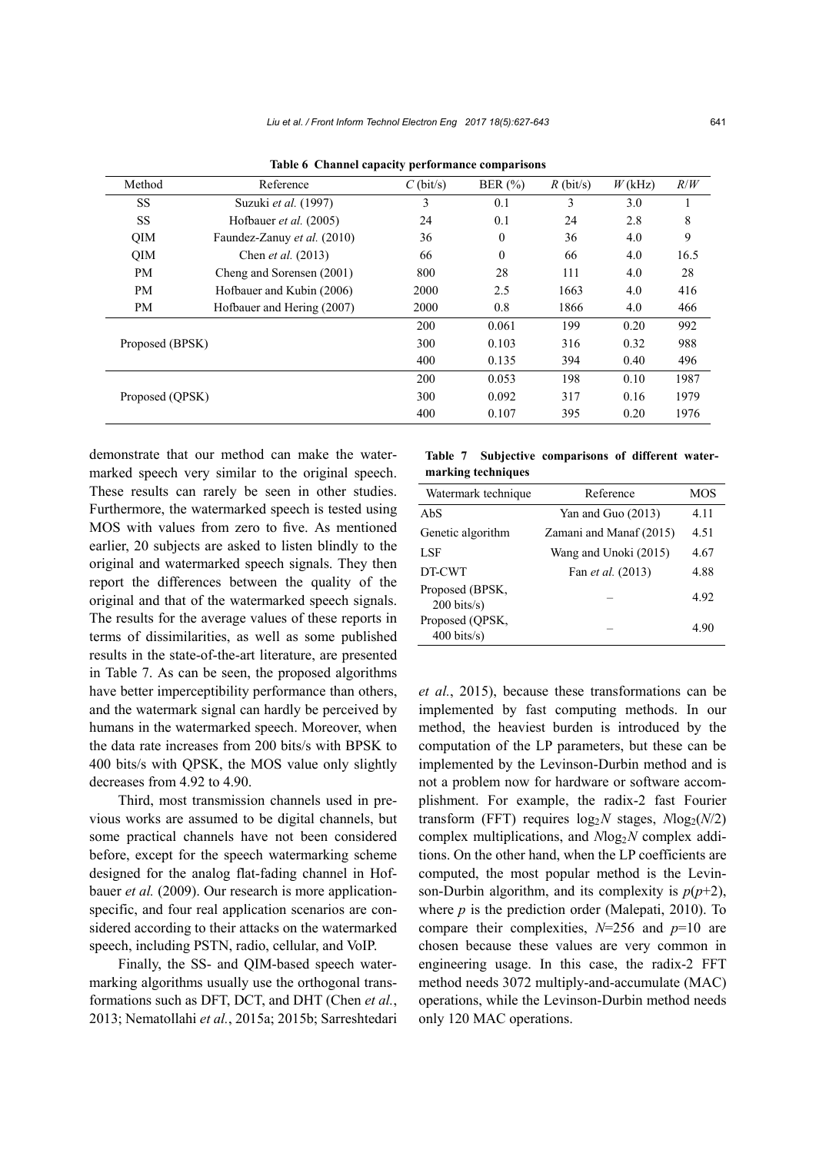| Method          | Reference                   | $C$ (bit/s) | BER $(\% )$ | $R$ (bit/s) | W(kHz) | R/W  |
|-----------------|-----------------------------|-------------|-------------|-------------|--------|------|
| <b>SS</b>       | Suzuki <i>et al.</i> (1997) | 3           | 0.1         | 3           | 3.0    |      |
| <b>SS</b>       | Hofbauer et al. (2005)      | 24          | 0.1         | 24          | 2.8    | 8    |
| QIM             | Faundez-Zanuy et al. (2010) | 36          | 0           | 36          | 4.0    | 9    |
| <b>OIM</b>      | Chen <i>et al.</i> (2013)   | 66          | 0           | 66          | 4.0    | 16.5 |
| <b>PM</b>       | Cheng and Sorensen (2001)   | 800         | 28          | 111         | 4.0    | 28   |
| <b>PM</b>       | Hofbauer and Kubin (2006)   | 2000        | 2.5         | 1663        | 4.0    | 416  |
| PM              | Hofbauer and Hering (2007)  | 2000        | 0.8         | 1866        | 4.0    | 466  |
|                 |                             | 200         | 0.061       | 199         | 0.20   | 992  |
| Proposed (BPSK) |                             | 300         | 0.103       | 316         | 0.32   | 988  |
|                 |                             | 400         | 0.135       | 394         | 0.40   | 496  |
|                 |                             | 200         | 0.053       | 198         | 0.10   | 1987 |
| Proposed (QPSK) |                             | 300         | 0.092       | 317         | 0.16   | 1979 |
|                 |                             | 400         | 0.107       | 395         | 0.20   | 1976 |

**Table 6 Channel capacity performance comparisons** 

demonstrate that our method can make the watermarked speech very similar to the original speech. These results can rarely be seen in other studies. Furthermore, the watermarked speech is tested using MOS with values from zero to five. As mentioned earlier, 20 subjects are asked to listen blindly to the original and watermarked speech signals. They then report the differences between the quality of the original and that of the watermarked speech signals. The results for the average values of these reports in terms of dissimilarities, as well as some published results in the state-of-the-art literature, are presented in Table 7. As can be seen, the proposed algorithms have better imperceptibility performance than others, and the watermark signal can hardly be perceived by humans in the watermarked speech. Moreover, when the data rate increases from 200 bits/s with BPSK to 400 bits/s with QPSK, the MOS value only slightly decreases from 4.92 to 4.90.

Third, most transmission channels used in previous works are assumed to be digital channels, but some practical channels have not been considered before, except for the speech watermarking scheme designed for the analog flat-fading channel in Hofbauer *et al.* (2009). Our research is more applicationspecific, and four real application scenarios are considered according to their attacks on the watermarked speech, including PSTN, radio, cellular, and VoIP.

Finally, the SS- and QIM-based speech watermarking algorithms usually use the orthogonal transformations such as DFT, DCT, and DHT (Chen *et al.*, 2013; Nematollahi *et al.*, 2015a; 2015b; Sarreshtedari

#### **Table 7 Subjective comparisons of different watermarking techniques**

| Watermark technique                     | Reference                | MOS  |
|-----------------------------------------|--------------------------|------|
| AbS                                     | Yan and Guo (2013)       | 4.11 |
| Genetic algorithm                       | Zamani and Manaf (2015)  | 4.51 |
| LSF                                     | Wang and Unoki (2015)    | 4.67 |
| DT-CWT                                  | Fan <i>et al.</i> (2013) | 4.88 |
| Proposed (BPSK,<br>$200 \text{ bits/s}$ |                          | 4.92 |
| Proposed (QPSK,<br>$400 \text{ bits/s}$ |                          | 4.90 |

*et al.*, 2015), because these transformations can be implemented by fast computing methods. In our method, the heaviest burden is introduced by the computation of the LP parameters, but these can be implemented by the Levinson-Durbin method and is not a problem now for hardware or software accomplishment. For example, the radix-2 fast Fourier transform (FFT) requires  $log_2N$  stages,  $Mlog_2(N/2)$ complex multiplications, and  $M \log_2 N$  complex additions. On the other hand, when the LP coefficients are computed, the most popular method is the Levinson-Durbin algorithm, and its complexity is  $p(p+2)$ , where  $p$  is the prediction order (Malepati, 2010). To compare their complexities, *N*=256 and *p*=10 are chosen because these values are very common in engineering usage. In this case, the radix-2 FFT method needs 3072 multiply-and-accumulate (MAC) operations, while the Levinson-Durbin method needs only 120 MAC operations.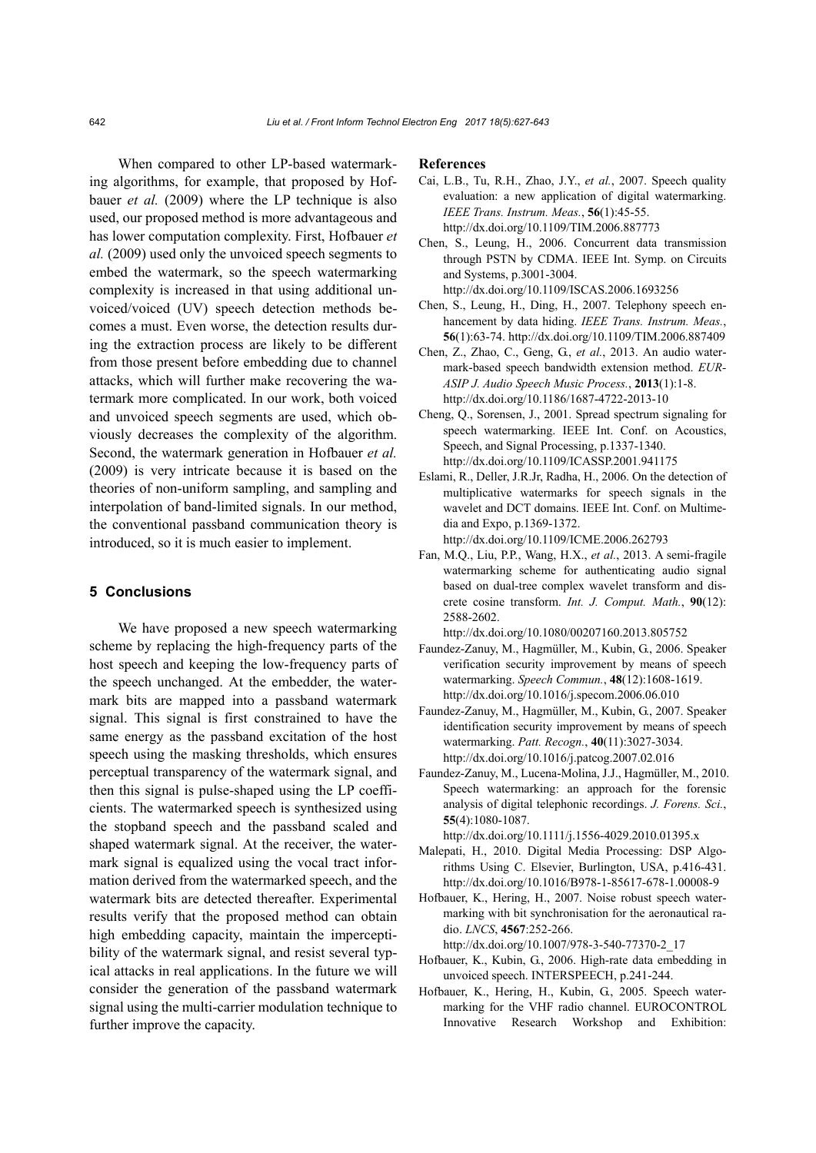When compared to other LP-based watermarking algorithms, for example, that proposed by Hofbauer *et al.* (2009) where the LP technique is also used, our proposed method is more advantageous and has lower computation complexity. First, Hofbauer *et al.* (2009) used only the unvoiced speech segments to embed the watermark, so the speech watermarking complexity is increased in that using additional unvoiced/voiced (UV) speech detection methods becomes a must. Even worse, the detection results during the extraction process are likely to be different from those present before embedding due to channel attacks, which will further make recovering the watermark more complicated. In our work, both voiced and unvoiced speech segments are used, which obviously decreases the complexity of the algorithm. Second, the watermark generation in Hofbauer *et al.* (2009) is very intricate because it is based on the theories of non-uniform sampling, and sampling and interpolation of band-limited signals. In our method, the conventional passband communication theory is introduced, so it is much easier to implement.

## **5 Conclusions**

We have proposed a new speech watermarking scheme by replacing the high-frequency parts of the host speech and keeping the low-frequency parts of the speech unchanged. At the embedder, the watermark bits are mapped into a passband watermark signal. This signal is first constrained to have the same energy as the passband excitation of the host speech using the masking thresholds, which ensures perceptual transparency of the watermark signal, and then this signal is pulse-shaped using the LP coefficients. The watermarked speech is synthesized using the stopband speech and the passband scaled and shaped watermark signal. At the receiver, the watermark signal is equalized using the vocal tract information derived from the watermarked speech, and the watermark bits are detected thereafter. Experimental results verify that the proposed method can obtain high embedding capacity, maintain the imperceptibility of the watermark signal, and resist several typical attacks in real applications. In the future we will consider the generation of the passband watermark signal using the multi-carrier modulation technique to further improve the capacity.

#### **References**

- Cai, L.B., Tu, R.H., Zhao, J.Y., *et al.*, 2007. Speech quality evaluation: a new application of digital watermarking. *IEEE Trans. Instrum. Meas.*, **56**(1):45-55. http://dx.doi.org/10.1109/TIM.2006.887773
- Chen, S., Leung, H., 2006. Concurrent data transmission through PSTN by CDMA. IEEE Int. Symp. on Circuits and Systems, p.3001-3004. http://dx.doi.org/10.1109/ISCAS.2006.1693256
- Chen, S., Leung, H., Ding, H., 2007. Telephony speech enhancement by data hiding. *IEEE Trans. Instrum. Meas.*, **56**(1):63-74. http://dx.doi.org/10.1109/TIM.2006.887409
- Chen, Z., Zhao, C., Geng, G., *et al.*, 2013. An audio watermark-based speech bandwidth extension method. *EUR-ASIP J. Audio Speech Music Process.*, **2013**(1):1-8. http://dx.doi.org/10.1186/1687-4722-2013-10
- Cheng, Q., Sorensen, J., 2001. Spread spectrum signaling for speech watermarking. IEEE Int. Conf. on Acoustics, Speech, and Signal Processing, p.1337-1340. http://dx.doi.org/10.1109/ICASSP.2001.941175
- Eslami, R., Deller, J.R.Jr, Radha, H., 2006. On the detection of multiplicative watermarks for speech signals in the wavelet and DCT domains. IEEE Int. Conf. on Multimedia and Expo, p.1369-1372. http://dx.doi.org/10.1109/ICME.2006.262793
- Fan, M.Q., Liu, P.P., Wang, H.X., *et al.*, 2013. A semi-fragile watermarking scheme for authenticating audio signal based on dual-tree complex wavelet transform and discrete cosine transform. *Int. J. Comput. Math.*, **90**(12): 2588-2602.

http://dx.doi.org/10.1080/00207160.2013.805752

- Faundez-Zanuy, M., Hagmüller, M., Kubin, G., 2006. Speaker verification security improvement by means of speech watermarking. *Speech Commun.*, **48**(12):1608-1619. http://dx.doi.org/10.1016/j.specom.2006.06.010
- Faundez-Zanuy, M., Hagmüller, M., Kubin, G., 2007. Speaker identification security improvement by means of speech watermarking. *Patt. Recogn.*, **40**(11):3027-3034. http://dx.doi.org/10.1016/j.patcog.2007.02.016
- Faundez-Zanuy, M., Lucena-Molina, J.J., Hagmüller, M., 2010. Speech watermarking: an approach for the forensic analysis of digital telephonic recordings. *J. Forens. Sci.*, **55**(4):1080-1087.
	- http://dx.doi.org/10.1111/j.1556-4029.2010.01395.x
- Malepati, H., 2010. Digital Media Processing: DSP Algorithms Using C. Elsevier, Burlington, USA, p.416-431. http://dx.doi.org/10.1016/B978-1-85617-678-1.00008-9
- Hofbauer, K., Hering, H., 2007. Noise robust speech watermarking with bit synchronisation for the aeronautical radio. *LNCS*, **4567**:252-266. http://dx.doi.org/10.1007/978-3-540-77370-2\_17
- Hofbauer, K., Kubin, G., 2006. High-rate data embedding in unvoiced speech. INTERSPEECH, p.241-244.
- Hofbauer, K., Hering, H., Kubin, G., 2005. Speech watermarking for the VHF radio channel. EUROCONTROL Innovative Research Workshop and Exhibition: